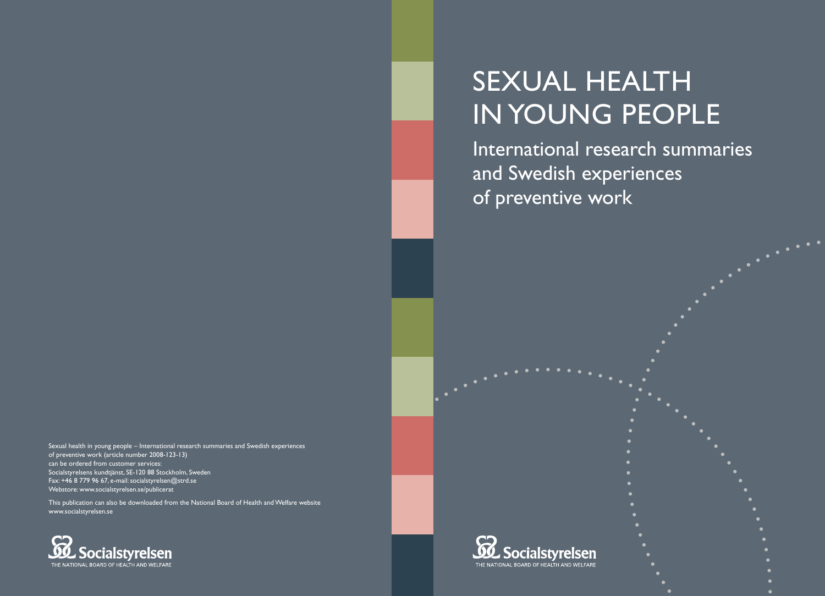# SEXUAL HEALTH IN YOUNG PEOPLE

International research summaries and Swedish experiences of preventive work

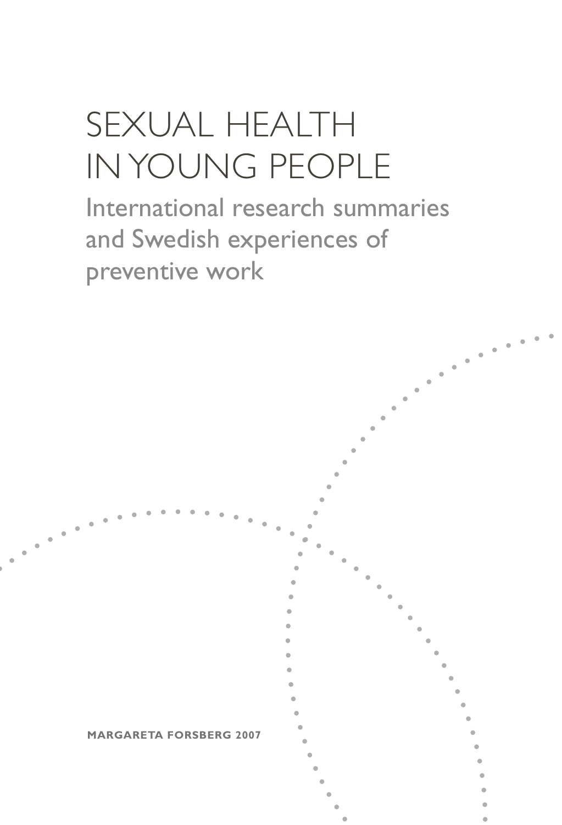The National Board of Health and Welfare classifies its publications into various types of document. This is *Material from experts.* This means that it is based on science and/or proven experience. The authors are responsible for content and conclusions. The National Board of Health and Welfare does not draw any conclusions of its own in the document. The experts' material may, however, provide a basis for the National Board of Health and Welfare's positions.

ISBN: 978-91-85999-29-3 Article number: 2008-123-13 Graphic design: AB Typoform Printing: Edita Västra Aros, June 2008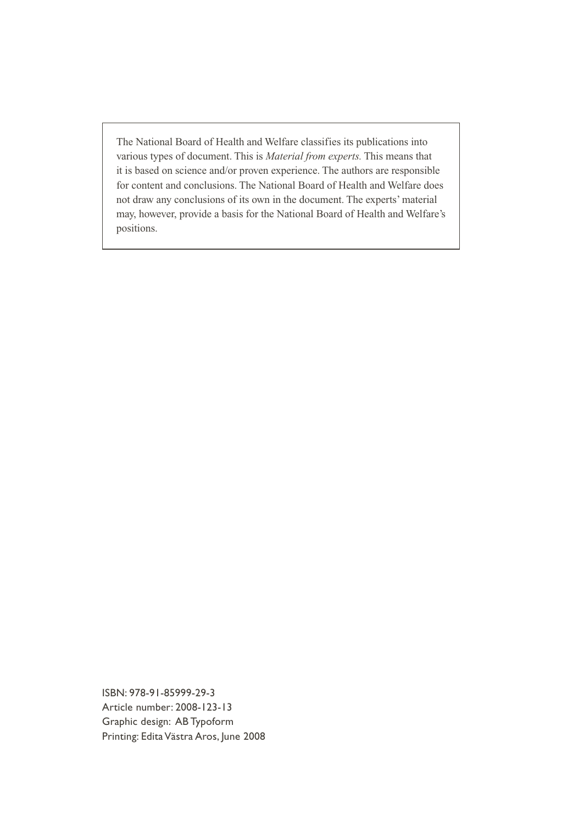# Table of contents

| Foreword                                                                                                                       | 5               |
|--------------------------------------------------------------------------------------------------------------------------------|-----------------|
| <b>Background and Method</b>                                                                                                   | 8               |
| <b>International Experiences</b>                                                                                               | 10              |
| The reviews                                                                                                                    | $\overline{10}$ |
| Summaries of the five international prevention reviews                                                                         | 12              |
| Report I: Sexual health education interventions for young people:<br>a methodological review (Oakley et al. 1995)              | 12              |
| Report II: Effective Health Care. Preventing and reducing the<br>adverse effects of unintended teenage pregnancies (NHS 1997)  | $\overline{14}$ |
| Report III: No Easy Answers: Research Findings on Programs to<br>Reduce Teen Pregnancy (Kirby 1997)                            | 15              |
| Report IV: Impact of HIV and sexual health education on the<br>sexual behaviour of young people. A review update (UNAIDS 1997) | 17              |
| Report V: Preventing HIV/AIDS in Young People. A systematic<br>review of the evidence from developing countries (WHO 2006)     | 20              |
| Brief description of the eight chapters of the WHO report                                                                      | 21              |
| Conclusions of the WHO report                                                                                                  | 27              |
| Other international experiences                                                                                                | 30              |
| Environmental factors                                                                                                          | 33              |
| <b>Swedish Experiences</b>                                                                                                     | 37              |
| Sweden - a Part of the World                                                                                                   | 46              |
| <b>Conclusions</b>                                                                                                             | 48              |
| Young people as a target group                                                                                                 | 48              |
| Young people most at risk                                                                                                      | 49              |
| Actors and arenas                                                                                                              | 50              |
| Intervention structure                                                                                                         | 51              |
| Content of interventions                                                                                                       | 52              |
| Communication                                                                                                                  | 53              |
| Evaluation                                                                                                                     | 54              |
| <b>Discussion</b>                                                                                                              | 55              |
| <b>References</b>                                                                                                              | 58              |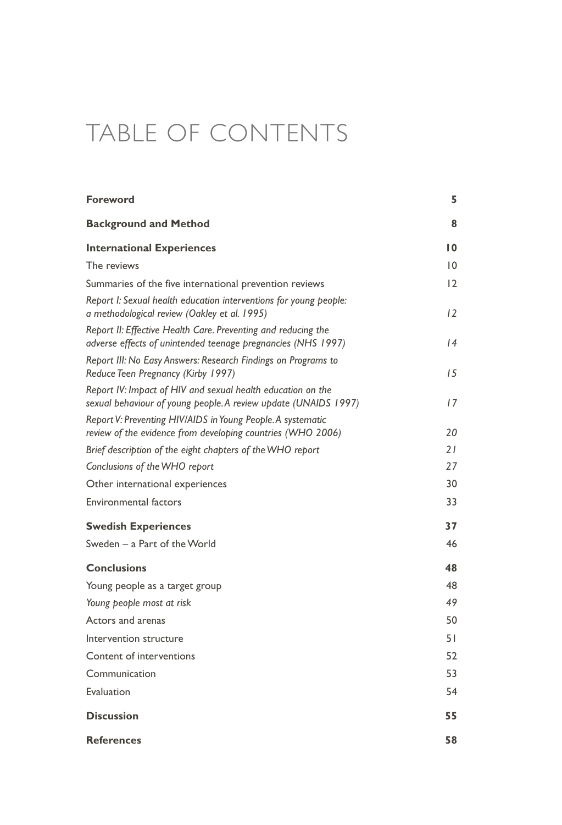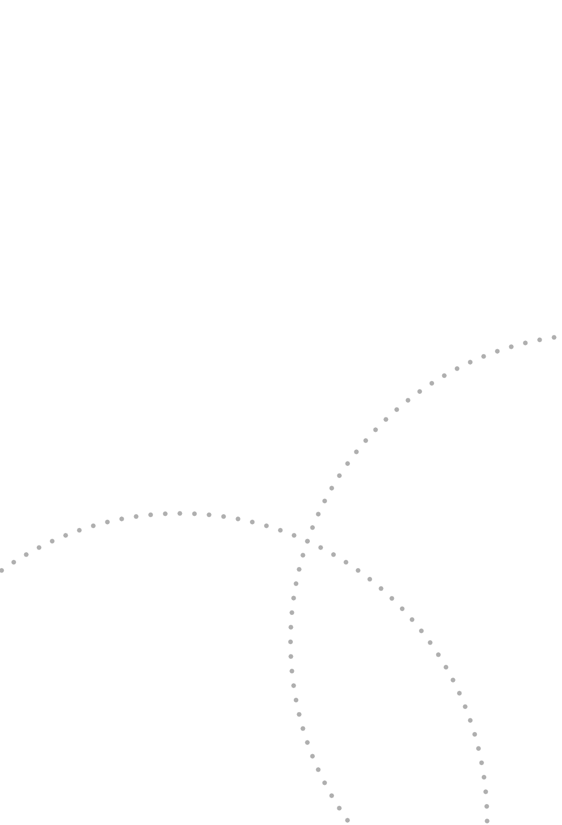# FOREWORD

Human sexuality has always been two things: a positive force, and a health risk, and with the arrival of HIV, the health risk stakes of sexuality were raised. We all share an important responsibility to provide the best possible support for young people who are at the beginning of an active sex life, support that will help them avoid the health risks of sexuality while enjoying its positive aspects.

The form that sexuality takes depends very much on the functioning of the young people's surrounding community. One effect of social change in Sweden and many other parts of the world over the past 40 years is that young people are "young" for longer, and postpone starting a family. The link that used to exist between starting a family and first intercourse in practice has thus been eliminated. Young people in Sweden have a number of sexual partners before they settle down in marriage, or a quasi-marital relationship, quite late in life. This has brought many benefits: studies show that young people today are happier in their close relationships and with their sexuality than they used to be. The studies also show that the sexuality of young women and young men is more equal: most young women feel that they can make demands in a sexual relationship, which is good news.

Nonetheless, this active sexuality in young people means that we need a new approach to the health risks of sex. We can see that sexually-related illhealth is rising in Sweden: the number of diagnosed cases of chlamydia is on the rise, as is the number of abortions. Preventive work must be updated and improved. Prevention must reach everyone, homosexual or heterosexual, male and female.

Sexual health has been the subject of debate and preventive work in Sweden and other countries since the 1980s. However, the broad efforts that would be needed to reach all young people have not been forthcoming: resources and will are both lacking. This is largely because sexuality and gender issues are still surrounded by a strong taboo. We want these matters to remain private. Sexuality is still seen as something embarrassing or vulgar.

Preventive work is an important social matter, and sexual health efforts need to reach all young people, of all ages, time and time again. Each young person undergoes a process of taking control of their own sexuality, and if they are to avoid serious health problems they need the right support.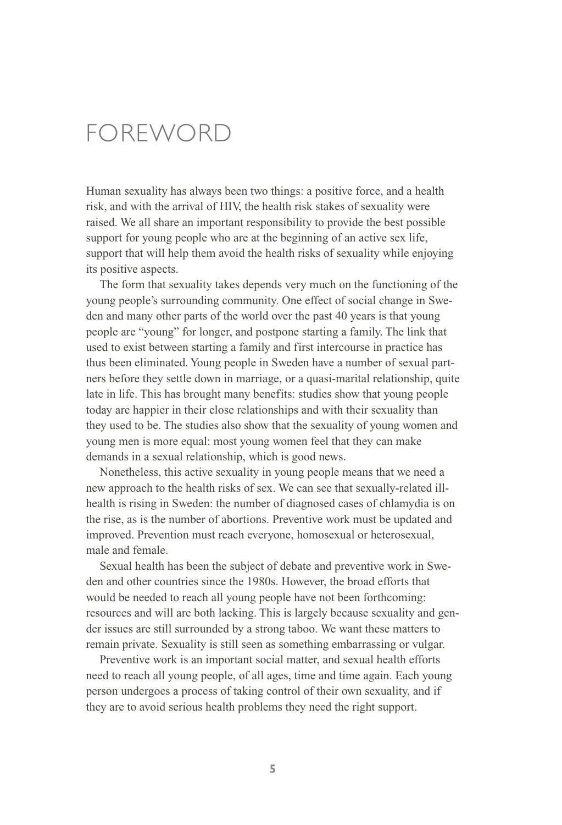Like many other western countries, Sweden has built up a structure to safeguard sexual health. It is 50 years since sex and relationships education became mandatory in Sweden. The Swedish school authorities, in an evaluation of their own work, report that sex and relationships education takes place in all schools, but that its quality is often poor and there is also often a lack of adaptation to the prevailing situation. Sweden's 227 Youth Clinics feel that their resources for preventive work are being squeezed and that they are at risk of being reduced to traditional care providers without special youthfriendly amenities. Sexuality issues are also neglected in teacher training and in training for the various care professions.

A very common argument used for not undertaking enough preventive work among young people is that we do not know if it has any effect. What should we actually be doing, and how? We often end up with isolated projects that are not evaluated, and this is not enough if the work is to achieve the impact we need.

The argument that we do not know if preventive work has any effect does not hold up, however. The first review of scientific studies on preventive interventions was presented in 1994, and pointed to the important role played by schools. I became convinced that knowledge-based preventive work is just as possible as knowledge-based care. The problem is that less much money is spent on systematically evaluating preventive work than on developing and evaluating medical treatment.

Since then, I have systematically searched for and collected research reviews from around the world which cover HIV prevention and sexual health efforts among young people. I have frequently presented these results in lectures, but this has been the first opportunity to bring them all together. Dr Margareta Forsberg, a specialist in social work, undertook to go through all the reviews and has also added some new ones. She has made an excellent job of sifting through the reviews, listing their most important findings and clarifying what conclusions we can draw.

HIV prevention and sexual health work can be vastly improved by applying knowledge that in fact already exists, that is to say if we are bold enough to apply the results of this report. It is based on international material and can therefore be a useful tool for everyone involved in international opinionforming and policy development in the area of HIV and sexual health, as well as those involved in more practical application. That is the reason why we are making the report available in English.

The report also covers some relevant Swedish studies in this field. Although many Swedish interventions are in line with the results of the report,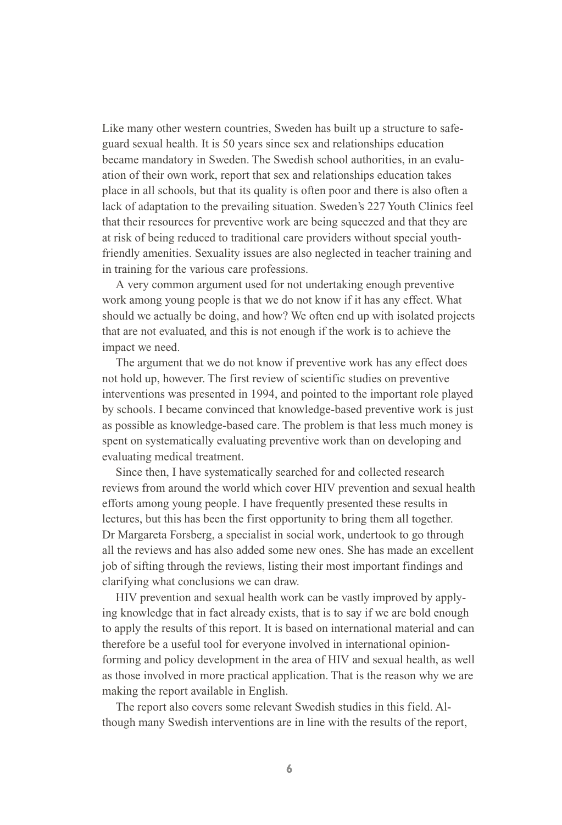there is an almost total lack of intervention research in Sweden, something that Sweden has in common with many other European countries. We do not just need efforts to implement knowledge-based methods; we also need more research into new interventions.

It is my hope that this report can contribute to more wide-ranging and effective work, and prompt more research in Sweden and other countries.

#### *Viveca Urwitz*

Head of Unit for National Coordination of HIV/STI Prevention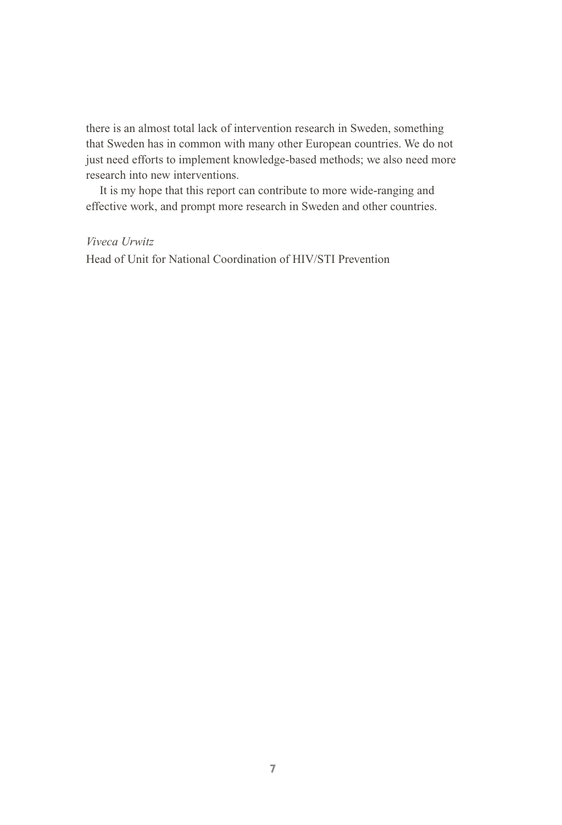# BACKGROUND AND METHOD

The Unit for National Coordination of HIV/STI Prevention was established at the Swedish National Board of Health and Welfare in June 2006. In the autumn of the same year, work was initiated on a review and summary of the results of international experiences of HIV prevention targeting young people. This report is the outcome of that work. Alongside this work, Dr Ronny Tikkanen has worked on a corresponding assignment regarding HIV prevention in men who have sex with men. Tikkanen's work is presented in the report *Knowledge-Based HIV Prevention, Intervention Targeting Men Who Have Sex with Men: A summary and discussion of six international research reviews* (2007).

This project relating to young people involves examining five international reviews of studies dealing with preventive work in the field of young people and sexuality. These five reviews in turn cover a large number of studies from many different countries, mainly written in English. No corresponding review has been published in Sweden, so the project comprises a search for Swedish primary data – research papers, reports and suchlike – that can increase our knowledge in this field.

The international reviews collected by the National Board of Health and Welfare are presented below. With respect to Swedish reports, the search has been confined to texts that can tell us something about interventions which have had (or have not had) direct effects on young people. This has involved demarcation, in that texts dealing with how teachers and others feel about an intervention programme, for example, are not discussed here. Nor do we consider texts in which young people express their views about programmes, unless the effects on their behaviour have also been measured. Additionally, our report covers only primary prevention: secondary prevention measures, such as contact tracing – decisive in stopping the spread of infection – are barely discussed in the texts on which this report is based.

During the course of the work, we have discovered further publications, mainly through the references cited in various papers to other reviews of HIV/ STI prevention work or related fields such as prevention of unwanted pregnancy. This field is discussed in two reviews by North American researchers: one on the effects of HIV prevention measures in sexually active young people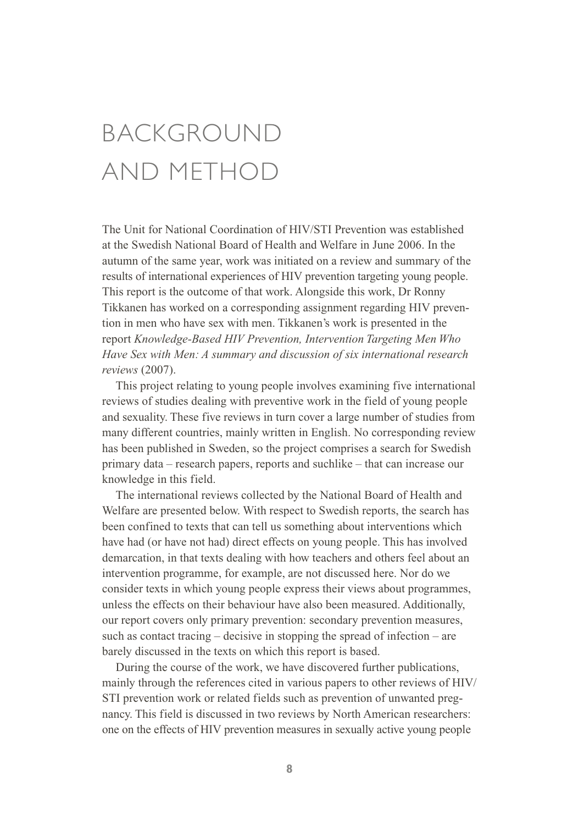(Mullen et al. 2002) and one on measures to prevent unwanted pregnancy (DiCenso et al. 2002). The results of these studies and from an anthology looking at communication on sexual health (MacDowell & Mitchell 2006) are briefly presented under the heading *Other international experience*. Further identified publications will be followed up in future development work, but are not included in this first report.<sup>1</sup>

The focus here, then, is on collected publications which can provide us with knowledge of primary preventive intervention programmes that have effects in the target group as such.

The report ends with *Conclusions and Discussion*. The Conclusions section summarises the recommendations and conclusions of the international and Swedish texts under a number of themed headings. The Discussion section deals with how the conclusions can be related to current knowledge regarding young people and sexuality in Sweden in the early 21st century.

<sup>1.</sup> Some such titles are Santelli et al., (1999), Rotheram-Borus et al. (2000) and Kim et al. (1997), see also footnote no. 5 in the "Other international experiences" section.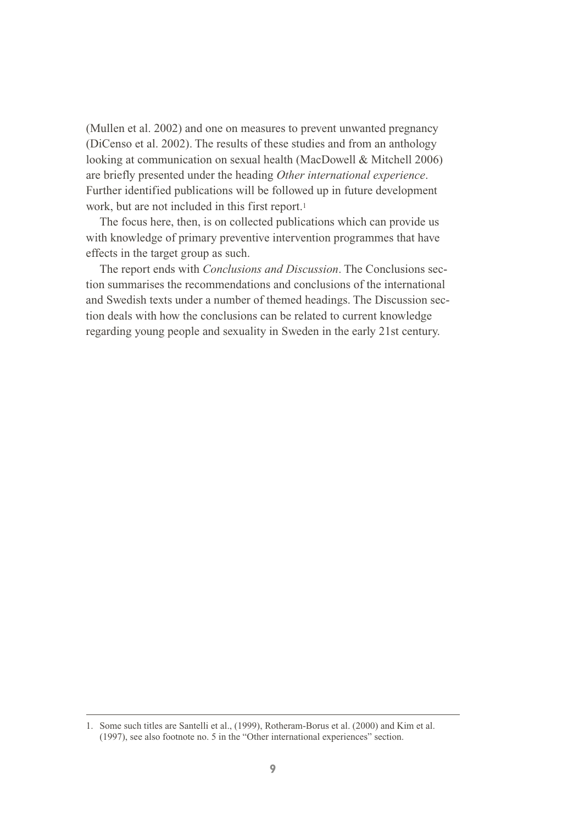# INTERNATIONAL EXPERIENCES

# The reviews

The five international reviews of preventive measures collected by the National Board of Health and Welfare are, by year of publication:

| <b>Review</b>                                                                                                                                                                                                                        | Type of<br>publication | Number<br>of studies<br>covered                                               |
|--------------------------------------------------------------------------------------------------------------------------------------------------------------------------------------------------------------------------------------|------------------------|-------------------------------------------------------------------------------|
| Oakley, A; Fullerton, D; Holland, J; Arnold, S; France-Dawson,<br>M; Kelley, P; McGrellis, S (1995). Sexual health education<br>interventions for young people: a methodological<br>review. British Medical Journal 1995;310:158-162 | Article                | 270                                                                           |
| NHS (1997). Effective Health Care. Preventing and<br>reducing the adverse effects of unintended teenage<br>pregnancies. NHS Centre for Reviews and Dissemination,<br>University of New York 1997, Vol. 3 number 1, ISSN:0965-0288    | Report                 | 42                                                                            |
| Kirby, Douglas (1997). No Easy Answers. Research<br>Findings on Programs to Reduce Teen Pregnancy.<br>Washington DC: The National Campaign to Prevent Teen<br>Pregnancy                                                              | Report                 | $50*$                                                                         |
| UNAIDS (1997). Impact of HIV and sexual health<br>education on the sexual behaviour of young people.<br>A review update. UNAIDS/97.4                                                                                                 | Report                 | 68                                                                            |
| WHO (2006). Preventing HIV/AIDS in young people.<br>A systematic review of the evidence from developing<br>countries. Ed: David Ross, Bruce Dick, Jane Ferguson. WHO<br>technical report series; no 938, ISBN 92 4 120938 0          | Report                 | Chapter 5:22<br>Chapter 6: 16<br>Chapter 7: 15<br>Chapter 8:22<br>Chapter 9** |

<sup>\*</sup> This report often refers to a number of different articles written on the basis of one and the same study. The figure 50 refers to the number of studies, not the number of articles.

<sup>\*\*</sup> In Chapter 9 of the WHO report, the number of studies and articles is not cited in a way that clarifies how many are actually covered by the review. The reference list for this chapter gives 67 titles, but this also includes reference literature, not just the articles studied.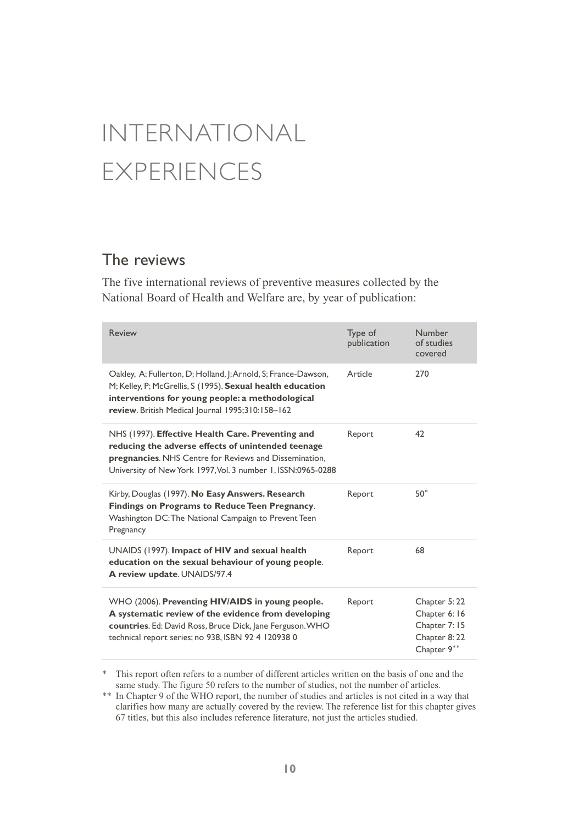The international review articles covered by this project were published over a period of eleven years. During this time, there have been considerable changes regarding the spread of, and knowledge about, HIV. Many different types of prevention have been tried in many different countries with vastly divergent circumstances. The five publications are also very different, and their aims vary.

The first published report, Oakley et al., 1995, is about sexual health education in its wider meaning. Two publications – Kirby 1997 and NHS 1997 – primarily deal with the prevention of unwanted teen pregnancy and its negative consequences. Experiences from prevention programmes that aim to prevent unwanted pregnancy can also contribute to the development of HIV/ STI prevention. However, the goals are different, and while widespread use of contraceptive pills can yield success in the former case, it might be negative in terms of HIV and STI because it is associated with a lower use of condoms (Novak 2005). Two reports (UNAIDS 1997 and WHO 2006) focus directly on prevention strategies for HIV and other STIs. All the texts present a number of conclusions, and these points are reproduced in this report.

One more review was included in the project which differs in nature from the others. This is an article published in the UK medical journal The Lancet:

#### Marston, C; King, E (2006) **Factors that shape young people's sexual behaviour: a systematic review**. The Lancet vol 368 Nov 4, 2006.

This article does not discuss the effects of a prevention programme; the authors instead carry out a systematic review of 268 publications based on qualitative studies of what shapes the sexual behaviour of young people. In this context, they discuss key findings that must be taken into account in designing different types of strategy for sexual health promotion or preventive work with young people. The results of this report are presented under a separate heading, *Environmental factors*, below.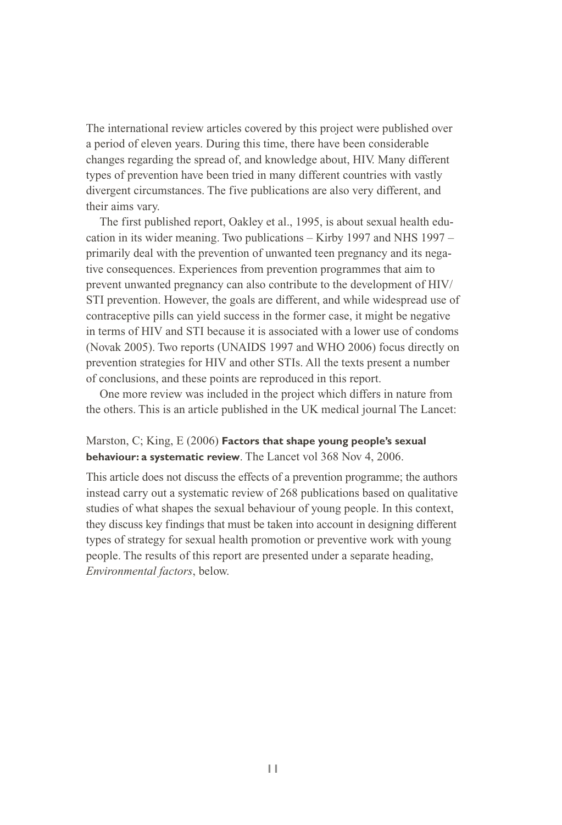### Summaries of the five international prevention reviews

*Report I: Sexual health education interventions for young people: a methodological review (Oakley et al. 1995)*

This research team, consisting of seven people working at the University of London Institute of Education, studied 270 reports of sexual health interventions targeting young people. They presented their results in an article in the British Medical Journal in 1995. In this article, they emphasise scientific standards and say that the capacity to evaluate an intervention programme should be inbuilt from the outset.

Of the 270 reports they studied, they pay particular attention to 65 evaluations of effects. Fifty-nine (91 per cent) of these were carried out in North America, three (5 per cent) in the UK, two (3 per cent) in other European countries and one in another country (it is unclear which). The programmes studied focused on the 12–19 age group and 74 per cent were interventions within the framework of the school system. Forty-six per cent of the studies focused on HIV, while the remaining 54 per cent focused on preventing pregnancy or STIs, or on sexual health in a broader sense.

Of the 65 evaluations, twelve were assessed as having been carried out in a fashion that met the scientific quality criteria established by the research team. Eleven of these had been carried out in North America and one in Finland. Of the twelve evaluations, only seven were assessed by the research team as fully (three) or partly (four) effective.

Two of the three programmes assessed as having been most effective had been carried out in high schools in the US. These two reports show that after attending a teaching programme about sexual health, pupils knew more about the area than before, and had also been affected in other respects by the goals of each programme: in one case, by being able to communicate better with their parents about sex, and in the other by having a more accepting attitude towards classmates with HIV or AIDS. The third programme focused on young people living in residential shelters after having run away from home, who were given up to 30 lessons on HIV/AIDS. Evaluations carried out three and six months afterwards showed that these young people used condoms more consistently and that they took fewer sexual risks than before the intervention.

So, of the three programmes assessed as having been effective, only one measured behavioural change in the young people involved. This programme also has a target group that differs from a number of other programmes, in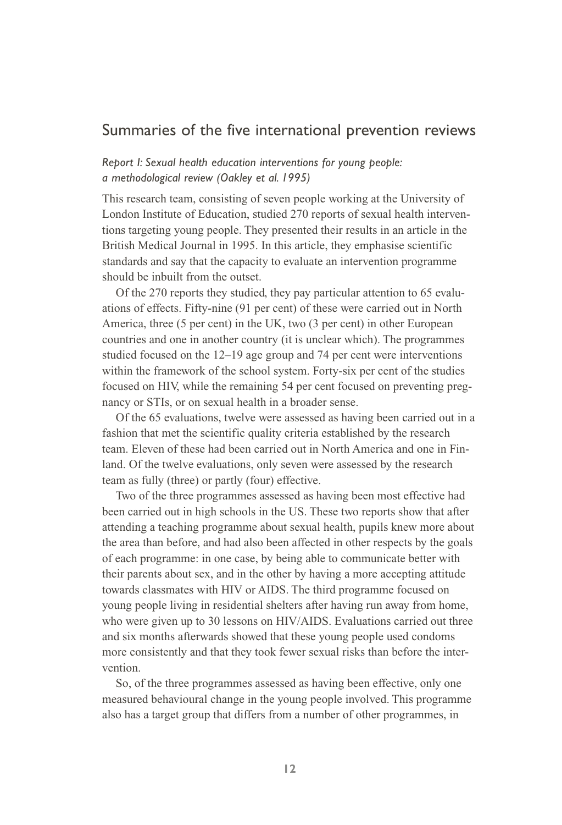that it focuses particularly on young people who have lived more risk-exposed lives than others.

Of the twelve programmes regarded as reliably evaluated, only this one and one other indicated a change in behaviour in the shape of greater use of condoms. Other programmes that reported success concentrated on knowledge and attitudes.

One programme was considered counterproductive and harmful: this was a programme focusing on younger teenagers from minority groups in lowincome families in Arizona. Its goal was to reduce the prevalence of premarital sexual relationships and advocate abstinence, by pointing to various types of sexual risks. After the programme, more young boys in the target group than in a control group stated that they had become sexually active.

The article's discussion mainly centres on the need to base interventions on evidence-based knowledge and to design them in ways that enable systematic follow-up and evaluation. The authors also point to the fact that many studies are content with examining knowledge, and do not even try to measure behavioural change despite awareness of the weakness of links between knowledge and behaviour. They also say that only two of the twelve reliable studies in their own review showed positive behavioural change, specifically in evaluations carried out a short time after the intervention.

It is difficult, on the basis of this article, to determine *what* it is in the seven different programmes that has appeared to affect the young people's knowledge, attitudes or behaviour. The research team does say, however, that there is no evidence that providing practical information and contraception leads to greater risk-taking; their view is that there is in fact evidence to the contrary, that teaching aimed at promoting abstinence may instead prompt sexual experimentation. They write that young people want practical information and help in avoiding unwanted pregnancy, rather than exhortations about the anatomical and moral aspects of sexuality. They want information in a form that is based on, and takes account of, their real lives.

On the basis of their review, Oakley and her colleagues list the following points to be considered in planning a prevention programme:

- • Use the results of evidence-based reviews to design future interventions.
- Base interventions on what young people say they want in sexual health information and resources.
- • Focus on changing behaviours rather than simply on knowledge or attitudes.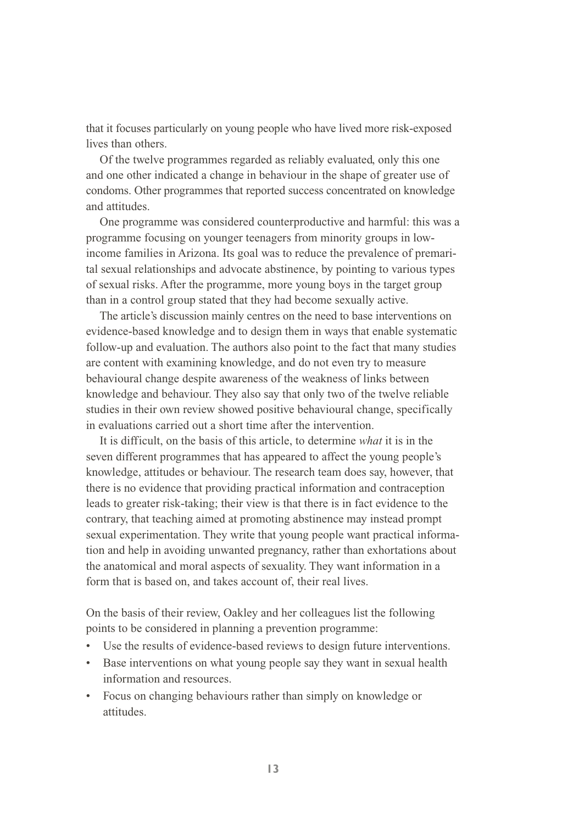- Evaluate intervention effectiveness by using the design of randomised controlled trials.
- Include an adequate follow-up period to look at both short-term and longterm effectiveness.

#### *Report II: Effective Health Care. Preventing and reducing the adverse effects of unintended teenage pregnancies (NHS 1997)*

This report is from the NHS Centre for Reviews and Dissemination at the University of York in the UK. It is a review of 42 evaluations of measures for preventing unintended pregnancy. The interventions are classified into seven types of strategy to prevent unwanted pregnancy. These seven categories are discussed and compared in the report, and experiences from a number of them may also contribute knowledge to HIV/STI prevention work.

To begin with, this report also finds that intervention programmes whose main focus is on persuading young people to wait to have sexual relationships until they are older (late teens) or married have proven ineffective. Experience shows that such programmes neither delay first intercourse nor reduce the number of pregnancies.

The report does find, however, that some programmes that also urge young people to wait before having sex have had some success in changing sexual behaviour and contraceptive use. What distinguishes these programmes is that they do not just urge a delay in first intercourse, they also provide factual information about and access to contraceptives, while also working to raise knowledge levels among young people.

Two different strategies of greater interest than the others appear in the report. One is that of school-based programmes with a broad approach. These build on a combination of different measures: teaching about sex, confidenceboosting, access to condoms and visits to family planning clinics. Evaluation after two years of such a programme shows a significant fall in the number of pregnancies.

The second strategy concerns intervention programmes intended to prevent HIV. Three such programmes, focusing on "hard to reach groups" and carried out outside the school, are described. All three programmes are reported to achieve good results in the shape of a lower degree of risk-taking and greater use of condoms or other contraceptives.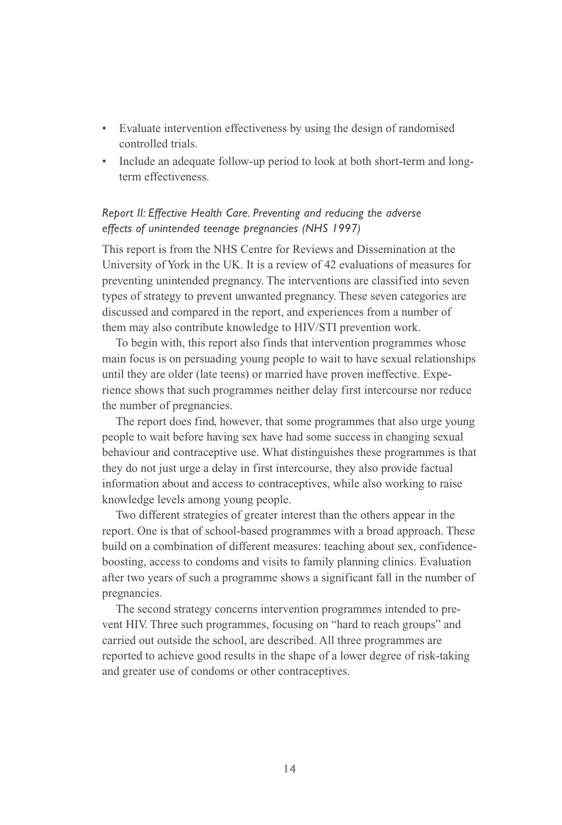The report's conclusions are that:

- there is reliable evidence that education in schools on sex and contraceptives does not lead to greater sexual activity or more pregnancies;
- clear contraceptive information and information about where to get contraceptives are important ingredients in successful programmes;
- • young people who are already sexually active are less affected by the various programmes than those who are not;
- young people differ, and that programmes must be designed on the basis of each specific target group;
- school-based programmes are important and that they are most effective when they are coordinated with family planning clinics and measures to improve young people's level of knowledge;
- programmes must be appropriate to their setting;
- special programmes must be designed that focus on young people particularly at risk;
- • systematic evaluation is necessary to study the effectiveness of different programmes.

#### *Report III: No Easy Answers: Research Findings on Programs to Reduce Teen Pregnancy (Kirby 1997)*

This American review article covers papers and reports based on a total of 50 studies. Its main aim is to look at interventions to prevent unwanted pregnancies, but the author also discusses a number of programmes and measures to combat HIV and STIs. The most extensive section of the report discusses programmes focusing on "reducing sexual risk-taking among young people".

In the introduction, the author emphasises that the main conclusion is that if programmes in these areas are to have more decisive effect, they need a broad approach and need to be sustainable over time. He also says that the programmes that yielded positive effects on behaviour have nine qualities in common.

1. Effective programmes focused clearly on reducing one or more sexual behaviours that lead to unintended pregnancy or HIV/STD infection. There are two aspects to this characteristic. First, these programmes focused narrowly upon a small number of specific behavioural goals, and second, they did not implicitly let the students decide which choice was right for them on the basis of broad information, but conveyed a clear message about what was considered to be desirable behaviour in the programme.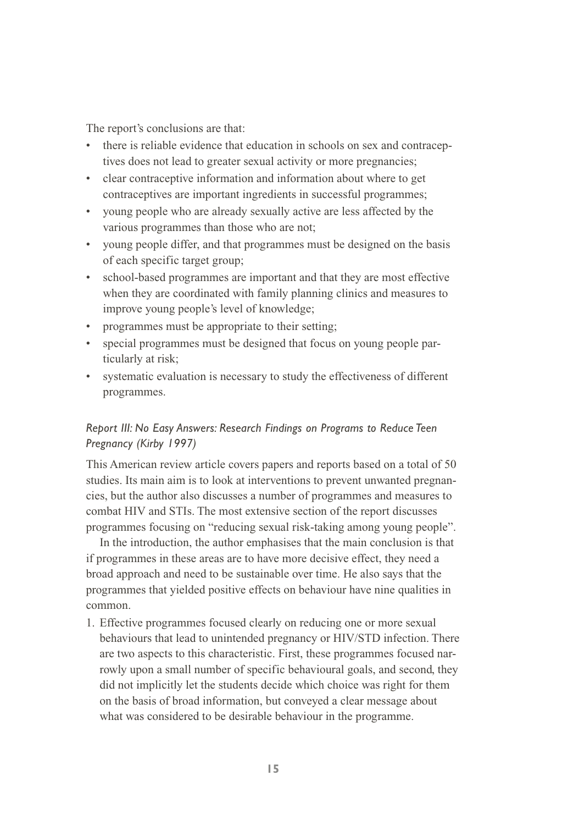- 2. The behavioural goals, teaching methods and materials were appropriate to the age, sexual experience and culture of the students.
- 3. Effective programmes were based on theoretical approaches, such as cognitive theory and social influence theory.
- 4. Effective programmes lasted a sufficient length of time to complete important activities adequately. Effective programmes tended to fall into two categories: those that lasted 14 or more hours, and those that lasted a smaller number of hours, but were implemented in small group settings with a leader for each group.
- 5. Effective programmes employed a variety of teaching methods designed to involve the participants and have them personalise the information. Examples of such methods are small group discussions, games or simulations, role-playing, visiting family planning clinics, tasks involving finding out where to get condoms, etc.
- 6. Effective programmes provided basic, accurate information about the risks of unprotected intercourse and methods of avoiding unprotected intercourse. This information was not unnecessarily detailed or comprehensive, but provided basic information that students needed to make behaviourally relevant decisions.
- 7. Effective programmes included activities that address social pressures on sexual behaviours. Some examples given are discussions about media influences (e.g. television shows that suggest that characters frequently have unprotected sex but never experience the negative consequences), about "lines" that are typically used to get someone to have sex, and about embarrassment about buying condoms.
- 8. Effective programmes provided modelling and practice of communication, negotiation and refusal skills. During this, such situations were practised through e.g. role play.
- 9. Effective programmes selected teachers or peers who believed in the programme they were implementing and then provided training for those individuals. The training ranged from approximately six hours to three days, and included information about the programme and practice using the role playing exercises and leading group discussions.

In his final recommendations as to what should characterise different prevention programmes, the author considers three different contexts. First, interventions are described that should be useful in *schools*, *family planning clinics* and suchlike; then interventions at *community level* (A programme that only focused on unwanted pregnancy has been excluded from this list).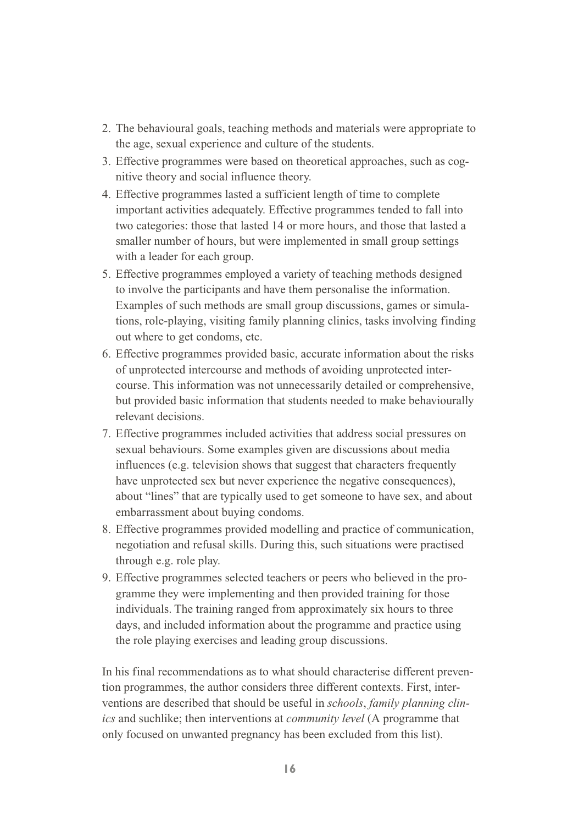#### *Schools*

- Education programmes that incorporate the nine common characteristics of effective programmes (listed above)
- Service-learning programmes that incorporate community service and ongoing small group discussions.

#### *Family planning clinics*

- • Outreach efforts to youth in schools and the community
- • Clinic protocols that reduce barriers to adolescent access: provide services at no cost, have extended hours for adolescents, do not require appointments, extend activities for initial visit into two visits, train staff to work with adolescents, provide more consistent and intensive follow-up, place greater emphasis on non-medical needs of adolescents (such as partner involvement).

#### *Communities*

- • Education programmes on sexuality and AIDS that incorporate the nine common characteristics of effective programmes (listed above).
- • Comprehensive youth development programs that include tutoring, mentoring, small group discussions with caring adults, development activities (including arts, sports, and career planning), referrals to health services (including reproductive health services), and other components.
- • Programmes designed to improve employment opportunities for youth.

### *Report IV: Impact of HIV and sexual health education on the sexual behaviour of young people. A review update (UNAIDS 1997)*

After searches in 13 databases and international contacts with other researchers, the authors identified 68 reports. Fifty-three of these reports had evaluated specific interventions. Of these, 27 reported no effects of the interventions studied. Twenty-two reported positive effects, such as delayed first intercourse, fewer sex partners, fewer unplanned pregnancies or a lower level of STIs.

The review only examines studies that have been identified as having affected behaviour. Reports that focused only on knowledge or attitudes were excluded: this is because of the weak link thought to exist between knowledge and attitudes on the one hand, and behaviour on the other (see e.g. Andersson-Ellström, 1996).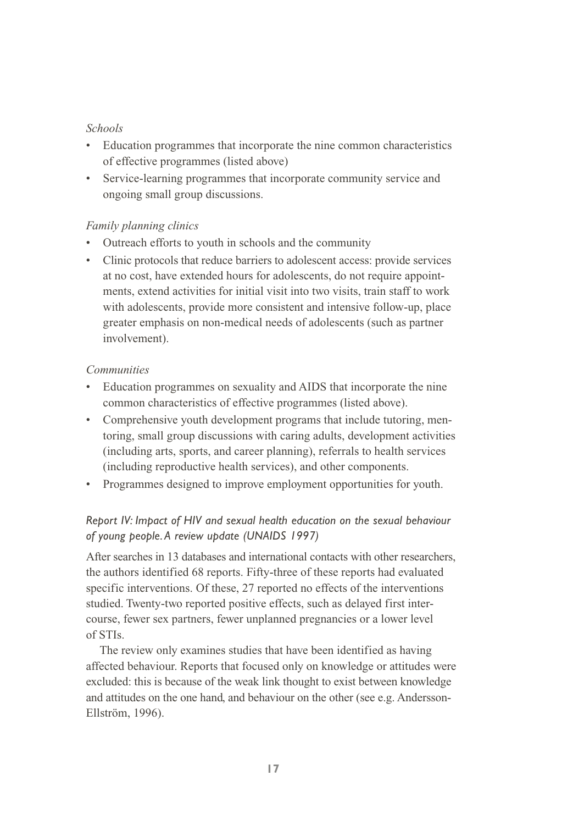This review, too, finds that education on sexuality does not make young people more sexually active. It also points to the fact that individual differences between teachers are important in how effective a programme or intervention is. They go on to say that successful prevention programmes had the following characteristics in common:

- social influence theory, social learning theory or cognitive-behavioural theories of behaviour underpinned the interventions;
- the programmes were focused on the specific aims of delayed intercourse and protected intercourse;
- the interventions were at least 14 hours in length or there was work in small groups to optimise the time in shorter programmes;
- a range of interactive activities such as role-playing, discussion and brainstorming were employed such that participants personalised the risks and were actively involved in the process;
- • clear statements were given about the outcomes of unprotected sex and how those outcomes could be avoided;
- the social influences of peers and media to have sex or unprotected sex were identified, and strategies to respond to and deal with such pressures were generated;
- there was clear reinforcement of values supporting the aims of the programmes and development of group norms against unprotected sex relevant to the age and experiences of the participants;
- programmes included activities that allowed participants to observe in others, and rehearse themselves, communication and negotiation skills, yielding greater effectiveness in achieving delays in initiation of intercourse or protected sex;
- there was effective training for those leading interventions.

In its closing discussion, the report draws particular attention to the social circumstances determined by gender. The authors describe how gender stereotypes and the inferior position of women are obstacles to efforts to combat the negative consequences of sex.

Their view is that many programmes are designed without taking women's and men's differing circumstances into account. As an example, the authors point out that women are generally expected to assume responsibility for their own sexuality and that of their partners, one aspect of this being that they are assumed to take responsibility for contraception, even where condoms are involved. At the same time, women are expected to be respectable and more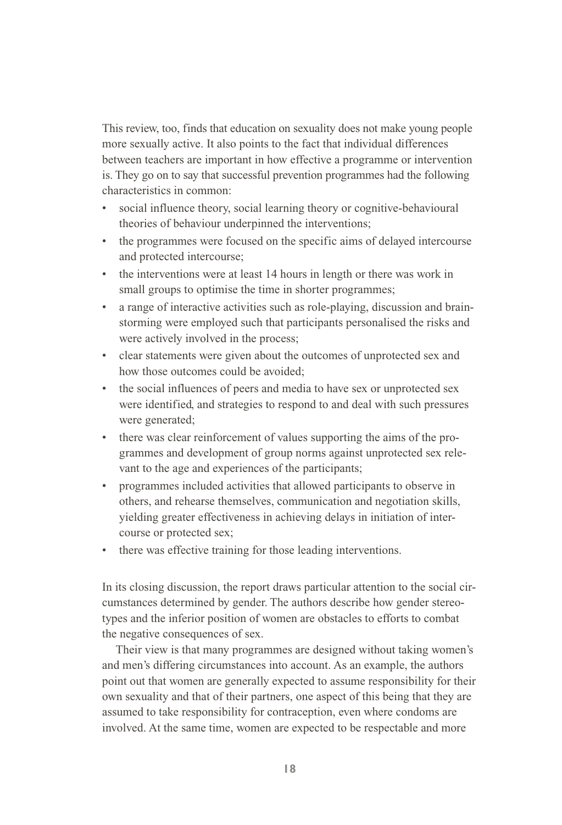passive than men in the sexual relationship. Implicitly, this means that the individual woman, in the actual sexual situation, must be able to step out of a passive gender role into an active one in which she controls the sexual encounter, in this case in the direction of greater safety.

Negotiations about safe sex thus challenge the cultural constructs of female and male. Interventions to influence the behaviour of young people must take social circumstances into account. Interventions to get young women to change their behaviour will have limited impact unless they take into account their position relative to young men. The report ends by saying that to move ahead, interventions must also focus on young men and work with the prism of ideas about sex and sexual identity through which they interpret their experiences and understand themselves.

Finally, the report formulates a number of points which should be the basis of planning for intervention programmes. These are:

- • Education on sexual health and/or HIV does not encourage increased sexual activity;
- • Good quality programmes help delay first intercourse, and protect sexually active youth from STD including HIV, and from pregnancy;
- Responsible and safe behaviour can be learned;
- • Sexual health education is best started before the onset of sexual activity;
- Education has to be gender sensitive for both boys and girls;
- • Young people's sexual health is informed by a wide range of sources;
- • Young people are a developmentally heterogeneous group, and not all can be reached by the same techniques.

In addition, studies show that effective education programmes:

- are grounded in Social Learning Theory;
- • have focused curricula, giving clear statements about behavioural aims, and feature clear delineation of the risks of unprotected sex and methods used to avoid it:
- focus on activities that address social influences:
- teach and allow practice in communication and negotiation skills:
- encourage openness in communicating about sex;
- equip young people with skills for decoding media messages and their underlying assumptions and ideologies.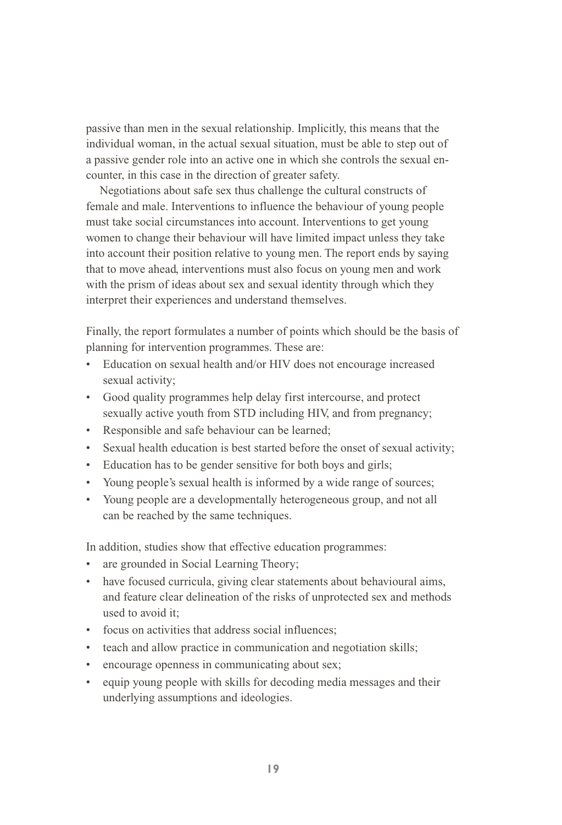Finally, the report says that planning must disregard convention and current epidemiological data, and rather rely on evaluated best practice and trend analysis.

#### *Report V: Preventing HIV/AIDS in Young People. A systematic review of the evidence from developing countries (WHO 2006)*

This report, the most ambitious of the reviews, discusses HIV prevention in the context of developing countries, and consists of ten independent articles written by a total of 22 researchers from different countries. It is held together by an introductory chapter and a concluding one, both of which were written by the trio of researchers Bruce Dick, Jane Ferguson and David A. Ross.

The other eight chapters have different focuses, and discuss, by turn:

- Young people at the centre of HIV/AIDS prevention;
- Different types of effective or promising HIV/AIDS prevention interventions;
- • Evaluation of interventions and programmes;
- The role of schools in prevention work in developing countries;
- Interventions designed to increase young people's use of the health services in developing countries;
- Use of the mass media to change HIV/AIDS-related behaviour among young people in developing countries;
- Community interventions focusing on preventing HIV/AIDS in developing countries;
- • Achieving the global goals on HIV among the groups of young people most at risk: sex workers, injecting drug users and men who have sex with men.

In the chapter dealing with evaluations of interventions and programmes, the researchers have divided their conclusions about the different intervention programmes into four categories. These are then used to assess the interventions studied in the other chapters. The categories are called *Go*, *Steady*, *Ready*, and *Do not go*, and have the following meanings.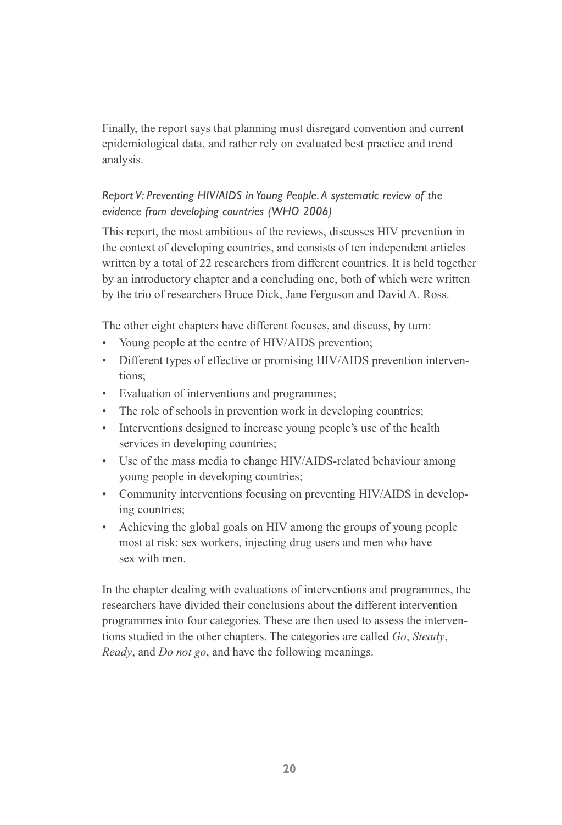| Go        | Evidence threshold met. Sufficient evidence to recommend widespread imple-<br>mentation on a large scale now, Ideally with careful monitoring of coverage,<br>quality and cost, and operations research to better understand the mechanisms<br>of action. |
|-----------|-----------------------------------------------------------------------------------------------------------------------------------------------------------------------------------------------------------------------------------------------------------|
| Ready     | Evidence suggests interventions are effective but large-scale implementation<br>must be accompanied by further evaluation to clarify impact and mechanisms<br>of action.                                                                                  |
| Steady    | Some of the evidence is promising but further development, pilot-testing and<br>evaluation are needed before it can be determined whether these interventions<br>should move into the "Ready" catgory or "Do not go".                                     |
| Do not go | Strong enough evidence of lack of effectiveness or of harm. Not the way to go.                                                                                                                                                                            |

*Brief description of the eight chapters of the WHO report.*

#### **Chapter 2. Young people: the centre of the HIV epidemic**

Following a review of national data from a number of countries, the researchers say that from a global perspective, young people are at the centre of the HIV epidemic: about half of all those infected are aged 15–24.

The HIV epidemic differs in different parts of the world, but there are some similarities. In countries where HIV/AIDS is concentrated in some specific groups (men who have sex with men, injecting drug addicts and sex workers), risky behaviour generally begins in adolescence. In countries in which HIV/AIDS is a generalised epidemic, adolescents and young adults are also responsible for most of the spread.

This means that regardless of the nature of the epidemic, young people are at its centre, as newly infected individuals and as a key target group for preventive measures. We can achieve most change by reaching young people.

#### **Chapter 3. Overview of effective and promising interventions to prevent HIV infection**

In this chapter, the researchers have examined a number of different intervention strategies and divide them into interventions to change behaviour (such as advice, education, treatment for drug addiction), biomedical interventions (such as widespread testing and treatment for STIs, prevention of bloodborne infection in health care, male circumcision) and social interventions (such as empowerment interventions for women, condom campaigns, access to clean needles for drug users).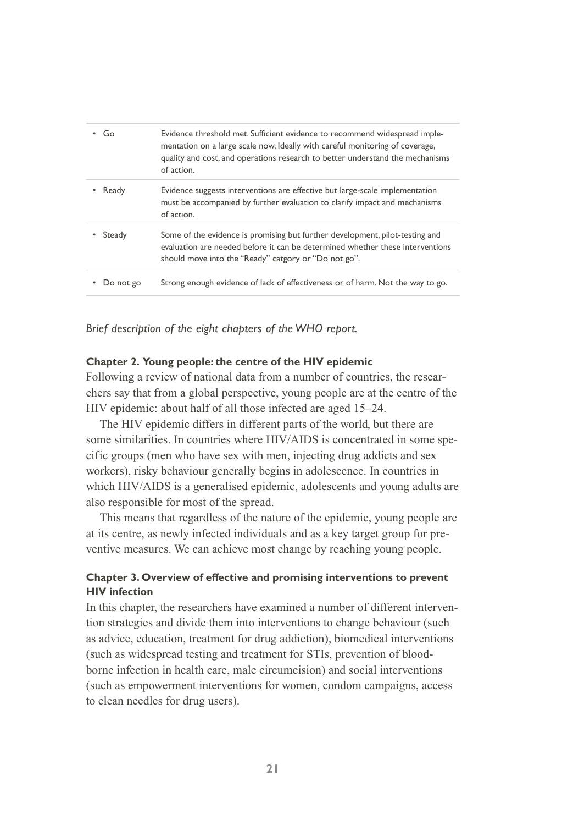The researchers' goal was to review a number of different intervention strategies, not to carry out a comprehensive survey. After their review, their view is that there are some strategies that should continue to develop while others require more analysis before large-scale implementation. They warn, however, against drawing the conclusion that programmes that have not attracted much attention or been widely implemented are less effective than those that have "made it". What they do want to see is more, and ongoing, evaluation and research into most programmes. Their view is that behavioural change strategies, biomedical strategies and social strategies do yield results, particularly if they are combined. They close by saying that "no intervention will be 100% effective, but implementing many [….] in different combinations in different places as befits the local situation, will yield important prevention outcomes at population level" (p. 63).

#### **Chapter 4. The weight of evidence: a method for assessing the strength of evidence on the effectiveness of HIV prevention interventions among young people**

The authors discuss a number of difficulties attached to evaluating measures to prevent HIV/AIDS in young people. They point to the following areas:

- HIV prevention interventions are complex;
- • Evaluating interventions targeting young people is difficult;
- • Evaluation strategies cannot be standardised;
- Evaluation results are not always generalisable;
- The contested nature of evidence itself (different people accord different weight to different types of evidence, often reflecting their disciplinary background).

After a discussion of the above, the authors propose a seven-point programme to compare different interventions and programmes. This seven-point programme is:

- 1. Define the key types of intervention that policy-makers need to choose between in the population setting under consideration (for example, schools);
- 2. Define the strength of evidence that would be needed to justify the widespread implementation of this type of intervention ("the evidence threshold");
- 3. Describe explicit inclusion and exclusion criteria for the studies that will be reviewed;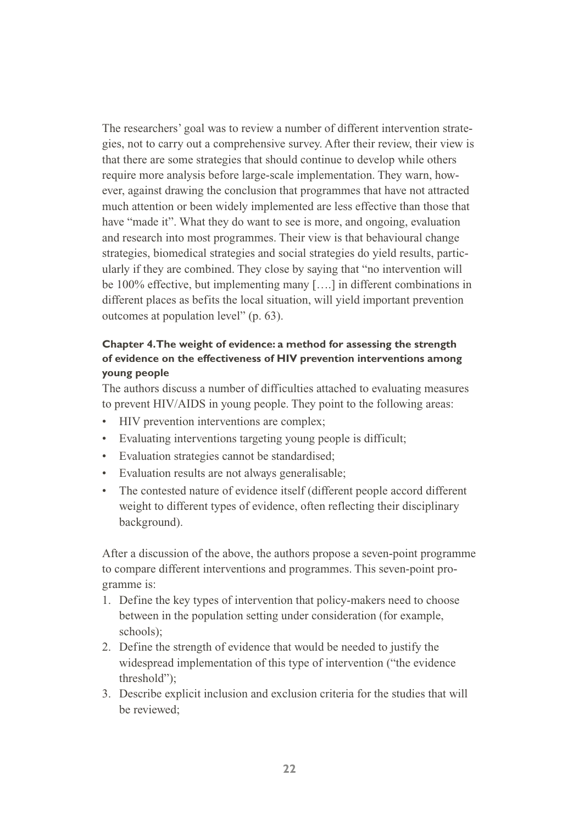- 4. Critically review all studies that meet the inclusion criteria and their findings, by type of intervention, type of context, outcome, quality of outcomes;
- 5. Summarise the strength of the evidence for the effectiveness of each type of intervention in making process towards each of the global goals;
- 6. Compare the strength of the evidence provided by the studies against the evidence threshold described in 2;
- 7. From this comparison, define each programme into one of the categories "Do not go", "Steady", "Ready" or "Go".

#### **Chapter 5. The effectiveness of sex education and HIV education interventions in schools in developing countries**

In this chapter, the researchers reviewed 22 reports of interventions carried out in the education system. Sixteen of the 22 interventions showed significant results with respect to delaying first intercourse, having fewer partners, or greater use of condoms or other contraceptives, thus reducing young people's risk-taking.

One of the 22 reports<sup>2</sup> identified what characterises successful interventions in schools, and these conclusions are also highlighted in the chapter. These characteristics are divided into three areas: developing the curriculum, content and implementation.

#### *Developing the curriculum*

- 1. Involve multiple people with different backgrounds in theory, research and sex/HIV education.
- 2. Assess relevant needs and assets of target group.
- 3. Use a logic model approach to develop the curriculum that specifies the health goals and the behaviours affecting those health goals. Define risk and protective factors affecting those behaviours and activities addressing those factors.
- 4. Design activities consistent with community values and available resources (such as staff time, staff skills, facility space and supplies).
- 5. Pilot-test the programme before large-scale implementation.

<sup>2.</sup> Kirby, D., Laris, B., Rollerei, L. Impact of sex and HIV education programs on sexual behaviours of youth in developing and developed countries. Washington, DC, *Family Health International*, 2005:1-45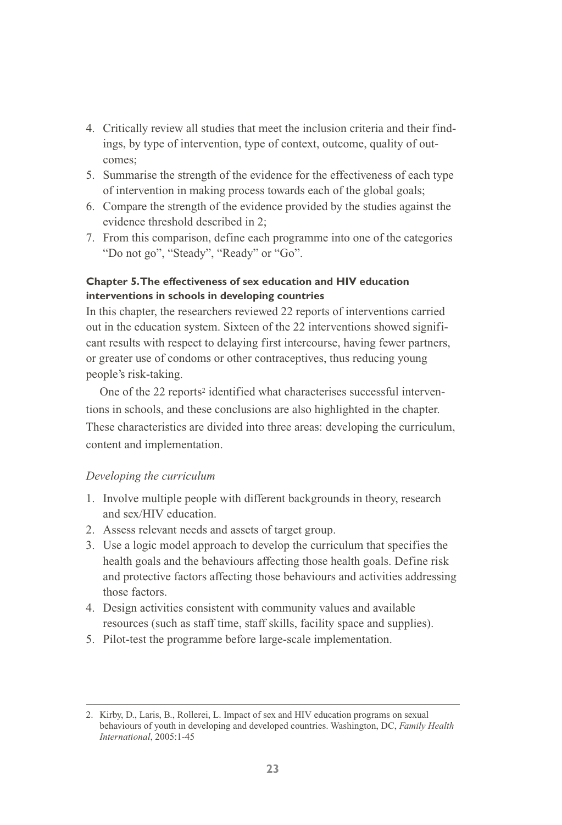#### *Content*

Curriculum goals and objectives

- 1. Focus on clear health goals, such as the prevention of STIs and HIV and/ or pregnancy.
- 2. Focus narrowly on specific behaviours leading to these health goals (such as abstaining from sex or using condoms or other contraceptives). Give clear messages about these behaviours. Address situations that might lead to them and how to avoid them.
- 3. Address multiple sexual-psychosocial risk and protective factors affecting sexual behaviours (such as knowledge, perceived risks, values, attitudes, perceived norms and self-efficacy).

Activities and teaching methods

- 4. Create a safe social environment in which youths can participate.
- 5. Include multiple activities to change each of the targeted risk and protective factors.
- 6. Use teaching methods which actively involve participants and that help participants personalise the information. Also use teaching methods that are designed to change each group of risk and protective factors.
- 7. Use activities, instructional methods and behavioural messages that are appropriate to the culture, developmental age and sexual experience of the participants.
- 8. Cover topics in a logical sequence.

Implementation

- 1. Secure at least minimal support from appropriate authorities, such as ministries of health, school districts or community organizations.
- 2. Select educators with desired characteristics, train them and provide monitoring, supervision and support.
- 3. If needed, implement activities to recruit and train youths and overcome barriers to their involvement (for example, publicise the programme, obtain consent from parents, adapt physical conditions).
- 4. Implement virtually all activities as designed.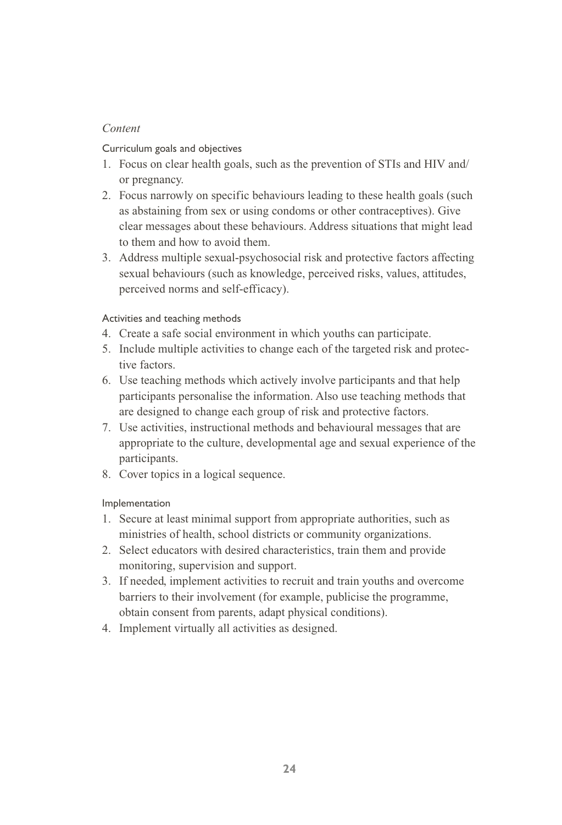Following a review of all interventions, the researchers' key conclusions are as follows.

- 1. Most school-based interventions lead to greater knowledge and should be assigned to the "Go" category.
- 2. Curriculum-based interventions that are led by adults and incorporate the characteristics described above affect behaviour and should be assigned to the "Go" category.
- 3. With respect to all other interventions, such as those led by peers, or those implemented outside the classroom situation, more follow-up and evaluation are necessary before implementation on a larger scale can be recommended.

#### **Chapter 6. Review of the evidence for interventions to increase young people's use of the health services in developing countries**

Following various types of search, 16 studies were identified in this area. The chapter notes that it is important that steps are taken to persuade young people to use existing clinics, and the researchers also provide a number of recommendations for the development of clinics for young people. A number of these concern the need for more, and more systematic, research to be able to assess various types of intervention. Some recommendations that are more directly useful in the work of such clinics are also provided. These involve the need to make the clinics easily accessible to young people and to train staff to be able to deal with young people on the basis of their specific situations and needs.

#### **Chapter 7. The effectiveness of mass media in changing HIV/AIDS-related behaviour among young people in developing countries**

Fifteen programmes were identified. A review of these shows that communication in the mass media is effective in boosting knowledge of how HIV infects, achieving better and more widespread condom use, influencing some social norms, getting people to discuss the issues more and boosting awareness of clinics that provide advice and care. Fewer significant differences could be measured with respect to abstinence, delayed first intercourse and reduction of the number of sexual partners. Campaigns that also include television slots have the greatest impact, but different campaigns have differing impacts.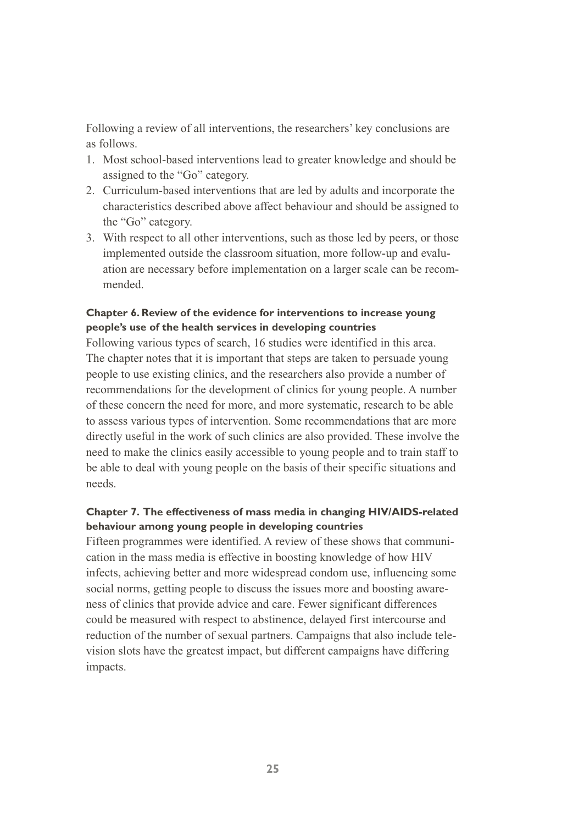#### **Chapter 8. The effectiveness of community interventions targeting HIV and AIDS prevention at young people in developing countries**

In this chapter, the researchers reviewed 22 evaluations of different interventions carried out in geographically defined areas, urban as well as rural. They identified four types of intervention: 1. interventions targeting young people through existing youth organisations, clinics and suchlike; 2. interventions which targeted young people but did not go through existing organisations; 3. interventions targeting all inhabitants of a given area, through existing organisations or networks; 4. interventions targeting entire communities by more general means.

The researchers' conclusion is that the first type of intervention, i.e. that focusing on young people through already established organisations or clinics, produced mainly positive results and that these results have also been measured in scientifically reliable evaluations. The other three types of intervention also produced mainly positive results, but evaluations of these did not provide a sufficient basis for any definite conclusions about their effectiveness.

#### **Chapter 9. Achieving the global goals on HIV among young people most at risk in developing countries: young sex workers, injecting drug users and men who have sex with men**

The researchers note that the specific groups the chapter is about – young men who have sex with men, sex workers and injecting drug addicts – require particular attention in preventive work. In countries where the HIV epidemic is at a low level and is concentrated, these groups have a key position in efforts to reduce the spread of HIV/AIDS.

The researchers comment how difficult it was to find reliable follow-ups of such focused projects. They note that there are increasing signs that interventions focusing on particularly at-risk groups are effective. Such results must, however, be reported specifically for different age groups if the methods are to be adaptable to the target group in question. They also say that there is evidence that clinic-based programmes, which also include outreach work and support and help, yield good results. They draw the conclusion that measures focusing on risk young people most at risk should contain a combination of outreach work, easily accessible clinics and information interventions. They point out that it is doubtful whether information interventions have any results if they are not combined with the offer of condoms, treatment for STIs and other supporting measures.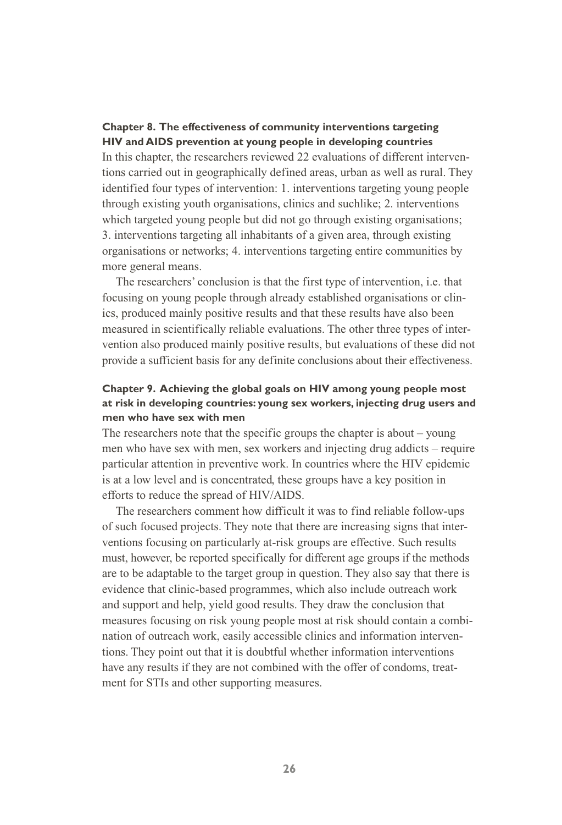#### *Conclusions of the WHO report*

In chapter 10 of the report, the authors present the overall conclusions of the report under the four headings "Go" "Ready" "Steady" and "Do not go" In assessing the category an intervention should be assigned to, they take two factors into account. They carry out an assessment, on the basis of the evaluations that have been done, of what evidence (strong, doubtful or weak) exists for a type of intervention being effective. They also assess what strength of evidence (strong, average or weak) is required for an intervention to be deemed ready for large-scale implementation. An intervention that has weak or ambiguous evidence of success can still be placed in the "Go" category provided that it is assessed as not requiring particularly strong evidence for larger-scale implementation (meaning that we can be sure that it is not counterproductive, does not cost too much and so on).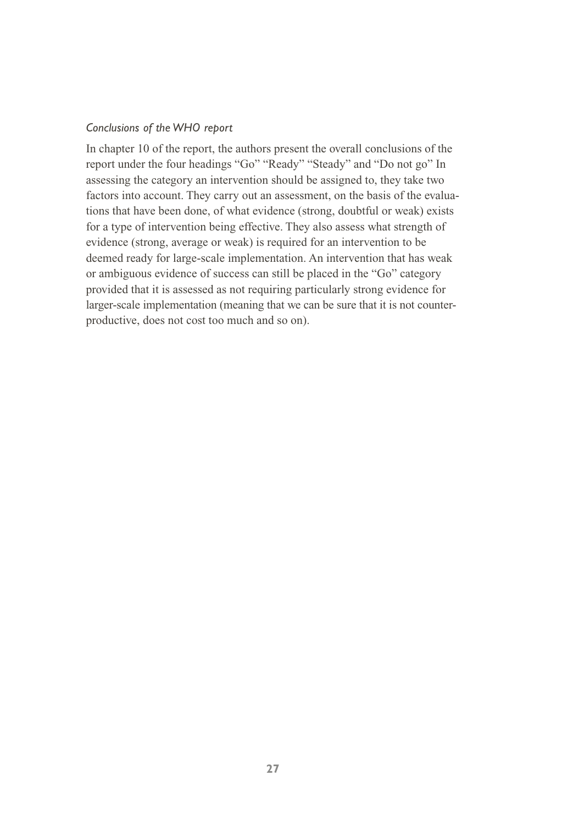| Context of intervention                 | Type of intervention                                                                                                                                                                                         |
|-----------------------------------------|--------------------------------------------------------------------------------------------------------------------------------------------------------------------------------------------------------------|
| Schools                                 | Curriculum-based interventions with characteristics<br>that have been found to be effective on the basis of the<br>criteria presented in Chapter 5 of the report, see above,<br>and which are led by adults. |
| Health services/family planning clinics | Interventions carried out by clinics, adapted to young<br>people and linked to activities to promote the health<br>services for young people.                                                                |
| Mass media                              | Interventions with messages broadcast via radio and<br>TV and other media (such as print media).<br>Interventions with messages broadcast via radio and<br>other media (such as print media), not TV.        |
| Geographically defined communities      | No interventions met the criteria.                                                                                                                                                                           |
| Young people most at risk               | No interventions met the criteria.                                                                                                                                                                           |

### *Ready*

| Context of intervention                 | Type of intervention                                                                                                 |
|-----------------------------------------|----------------------------------------------------------------------------------------------------------------------|
| Schools                                 | No interventions met the criteria.                                                                                   |
| Health services/family planning clinics | Interventions with service providers and in health<br>facilities and in the community that involve other<br>sectors. |
| Mass media                              | No interventions met the criteria.                                                                                   |
| Geographically defined communities      | Interventions targeting youths using existing youth-<br>service organisations.                                       |
| Young people most at risk               | Facility-based programmes that also have outreach<br>and provide information and services.                           |

#### *Go*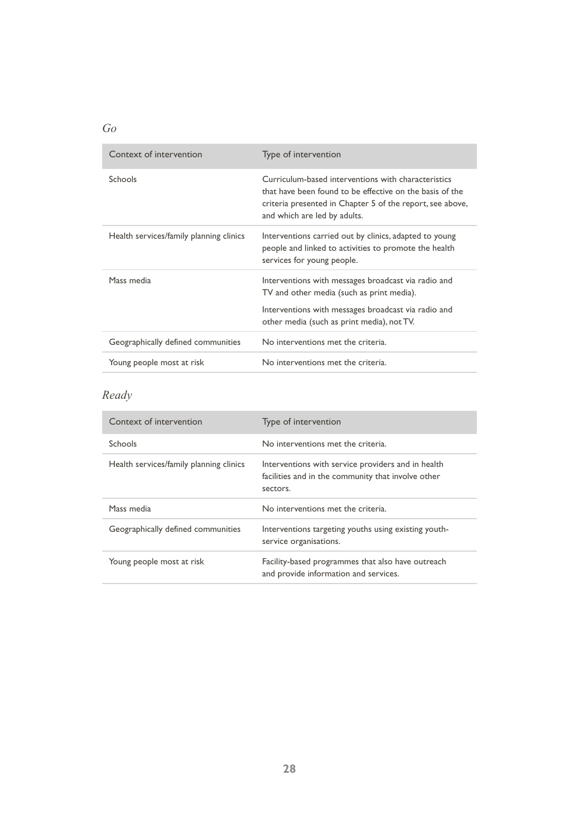#### *Steady*

No interventions have been assigned to the "Do not go" category. There are, however, some interventions under the "Steady" heading, in which the authors have put a possible "Do not go" in brackets.

| Context of intervention                 | Type of intervention                                                                                                                        |
|-----------------------------------------|---------------------------------------------------------------------------------------------------------------------------------------------|
| Schools                                 | Curriculum-based interventions with characteristics<br>found to be effective in developed countries and that are<br>led by peers.           |
|                                         | Curriculum-based interventions without the characteris-<br>tics found to be effective in developed countries and that<br>are led by adults. |
|                                         | Curriculum-based interventions without the characte-<br>ristics found to be effective in developed countries and<br>led by peers.           |
|                                         | Non-curriculum based without characteristics found to<br>be effective in developed countries and led by adults.                             |
|                                         | Non-curriculum based without characteristics found to<br>be effective in developed countries and led by peers.                              |
| Health services/family planning clinics | Interventions with service providers and in the com-<br>munity (Do not go!).                                                                |
|                                         | Interventions with service providers and involving other<br>sectors.                                                                        |
|                                         | Interventions with service providers and in facilities and<br>involving other sectors (Do not go!).                                         |
| Mass media                              | Radio only.                                                                                                                                 |
| Geographically defined communities      | Interventions targeting youths through new, structures<br>(Do not go!).                                                                     |
|                                         | Interventions targeting the entire community through<br>traditional networks.                                                               |
|                                         | interventions targeting the entire community through<br>community events.                                                                   |
| Young people most at risk               | Outreach only interventions providing information and<br>services.                                                                          |

The summary of the conclusions of the WHO report raises a problem related to the overall level that we are concerned with. Despite the systematic approach, and despite the consistent presentation of results, it can be difficult in some cases to use the summary as guidance for actual measures. Two examples presented in the "Go" category illustrate how the degree of guid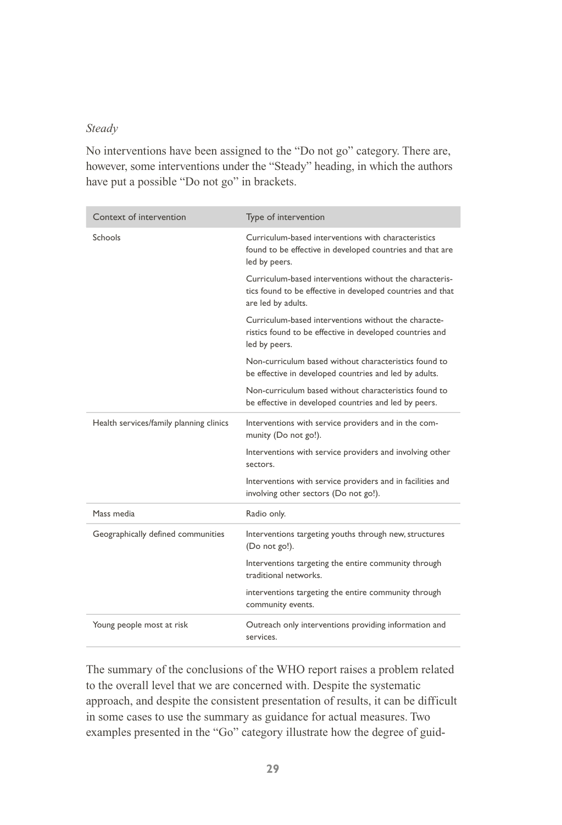ance can vary. The first conclusion was that curriculum-based interventions, led by adults and meeting certain criteria (as specified in chapter 5 and reproduced above), are effective. Clear guidelines are provided here and they also refer to a more detailed description which is easy to find. Here, then, the reader receives good guidance for future work. Another type of example is harder to interpret. Under the heading *Mass media* we find the phrase "interventions with messages delivered through the radio, television and other media (such as print media)". Here, the reader is given no concrete guidance other than that messages communicated using certain types of technology are more effective than others. Questions about the content of the message being delivered are not answered. We would need to go back to each respective study to find answers to these questions.

## Other international experiences

The above section describes the five reviews collected by the National Board of Health and Welfare and covered in the project. Study of these, and a search for further material, shows that there are a number of other publications whose ambition has been to establish an overview of different prevention strategies. Three such texts which have appeared during the course of the work and which have been studied in the project are:

- • DiCenso et al.(2002) *Interventions to reduce unintended pregnancies among adolescents: systematic review of randomized controlled trials.*  BMJ Vol 324 15 June 2002
- • Mullen, PD, Ramírez, G, Strouse, D, Hedges, LV, Sogolow, E (2002) *Meta-analysis of the Effects of Behavioral HIV Prevention Interventions on the Sexual Risk Behavior of Sexually Experienced Adolescents in Controlled Studies in the United States*. JAIDS Journal of Acquired Immune Deficiency Syndromes 30;S94-S105
- MacDowell, W & Mitchell, K (2006) Sexual health communication. In Ingham, R & Aggleton, P (ed) *Promoting young people's sexual health. International perspectives.* New York: Routledge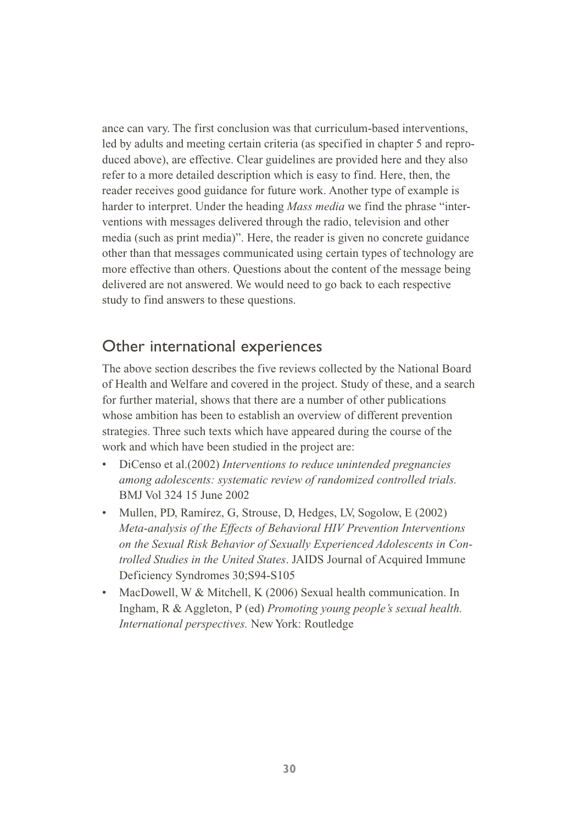**DiCenso** (2002) and her fellow researchers studied 22 reports which described a total of 26 interventions to prevent unplanned pregnancy, with randomly selected young people and control groups.

The review showed that the interventions did not lead to the desired result: they did not postpone first intercourse, did not increase the use of contraceptives and did not reduce the number of pregnancies. In five cases – four of which aimed to promote abstinence – the number of pregnancies actually rose. An exception to this depressing result was found in a study of an intervention programme that took a broad approach, which showed a significant fall in the number of pregnancies. There were, however, some differences between the study group and control group, which may have led to an excessively positive result. This made it difficult to draw conclusions from this study.

In their final discussion, the authors consider the need for more long-term perspective on prevention and also the need to see the link between different types of risk factor and risk behaviour. For example, they note that a long-term evaluation of eight different trials with day-care activity for socially vulnerable children pointed to a lower number of pregnancies in these children when they became teenagers. They also note positive results of interventions aimed at prevention of alcohol and drug use in young people, and consider that lessons could be learned from such contexts.

The authors close by urging input from young people in the planning of preventive measures. They say that none of the intervention programmes they studied had the objective of making good sexual relationships possible. They end their article by noting that:

Sexual exploitation, lack of mutual respect, and discomfort in voicing sexual needs and desires are common problems in adulthood. Interventions to help adolescents learn about healthy sexual relationships need to be designed and evaluations of these interventions that follow the adolescents into adulthood should be done (DiCenso et al. 2002:324).

**Mullen** (2002) and colleagues looked at 16 different publications which studied the effects of HIV prevention interventions in sexually active young people. The review points to a generally positive result (primarily greater condom use) from these measures. At the same time, the authors warn that the results should not be interpreted too optimistically and say that on the basis of the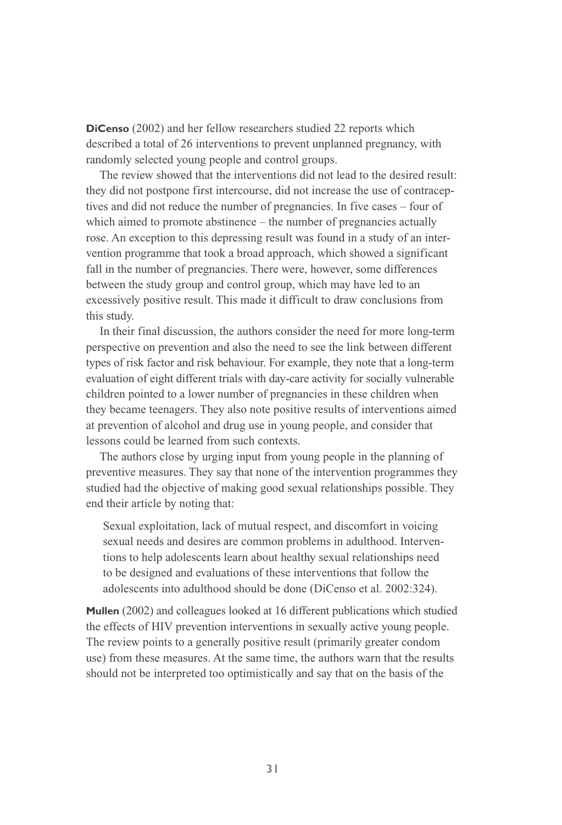skewed distribution of studies that they have found, it might be the case that studies with more negative results have not been published.<sup>3</sup>

The overall results of the 16 studies in the review, however, show "a significant protective effect of interventions aiming at safer sexual behaviour" (p.100).4 This result applies to classroom-based interventions and others, and is, according to the authors, in line with conclusions in other overviews in the field to which they refer.5

On the basis of these results, the authors recommend that preventive measures be based on experience of successful programmes. They also say that interventions carried out in ethnically homogenous groups show the best results. They discuss whether this can be seen as an indicator that discussions about sensitive subjects have greater effect in groups with a common perspective in these issues. Their conclusion is that in future research, attention should be paid to the context in which an intervention is carried out and that interventions that have proven effective should be used with some adaptation to local conditions and the target group in question, but without moving away from their basic design.

**MacDowell & Mitchell's** text is a contribution to the anthology *Promoting young people's sexual health. International perspectives* (2006). The anthology contains a number of interesting contributions; the only one presented here, however, is MacDowell's & Mitchell's *Sexual health communication: Letting young people have their say*.

Here, the authors discuss how social constructs and "scripts" about sexuality create the context for how preventive messages can be communicated, and what the chances are of reaching young people. They begin the presentation of their conclusions by noting that there is currently almost complete consensus that information is not enough to change behaviour. After that, they discuss the importance of basing different conclusions on theories of behavioural science, but say at the same time that this must be combined with an awareness of, and adaptation to, the social context in which an intervention is

<sup>3.</sup> The 16 studies that the research team found have a distribution indicating a "gap" with respect to studies with negative results. The researchers' view is that the explanation for this gap is that such studies may have been done, but not published.

<sup>4.</sup> Some studies differ from the majority and show no positive results. Overall, however, results are positive and indicate that interventions should continue.

<sup>5.</sup> The overviews to which they refer are Santelli et al. (1999) *Sexually transmitted diseases, unintended pregnancy, and adolescent health promotion*. Adolesc Med 1999;10:195-209. Rotheram-Borus, MJ et al: (2000) *Prevention of HIV among adolescents*. Prevention Sci 2000;1:15-25. Kim, N et al (1997) *Effectiveness of the 40 adolescent AIDS-risk reduction interventions: a quantitative review.* J Adolesc Health 1997;20:204-15.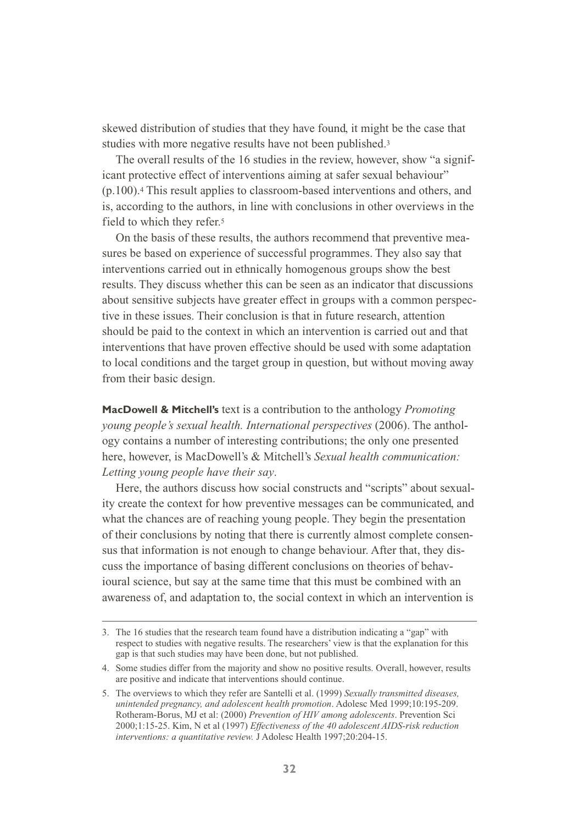to be carried out. A deeper understanding of the importance of context also means an understanding of the multifaceted factors that impact on human health. This, in turn, leads to the conclusion that interventions must also be multifaceted and multidimensional if they are to be able to reach different types of people in different contexts and situations.

The authors also discuss the mass media which, through its enormous expansion and potential to reach people, is an important information channel about safer sex. They point to the example of a HIV/AIDS campaign, which through MTV reached almost 800 million households around the world, and note that if just one per cent of these viewers was influenced by the campaign then that is still a large number of individuals.

One section of the text discusses "peer education" and its pros and cons. Peer education is a cheap method that is based on the fact that "like listens to like". It is founded on commitment among the young people themselves, and can have a number of positive effects, both for the peer educators and for those they are trying to reach. There are, at the same time, difficulties inherent in the model. Young people may, for example, tend to disbelieve information from peers, assuming that they do not know enough about the issue they are discussing, or because they belong to the "wrong" group by youth culture standards.

MacDowell & Mitchell end their text by pointing out that it is crucial, when designing intervention strategies, to understand the importance of theoretical support and social context. Their view is that the mass media and peer education are two strategies which, if part of a multifaceted approach, can contribute to positive change in individual attitudes and behaviours, and in social norms at the overall level of the community.

# Environmental factors

In work to design strategies to prevent sexual ill-health among adolescents and young adults, it is key to take into account the social factors that shape ideas about gender, sexuality and relationships. The British researchers Marston & King (2006) carried out a systematic review of 268 publications based on qualitative studies published in English between 1990 and 2004. The aim was to study how social and cultural aspects shape the way young people behave in sexual contexts.

Marston & King distinguish a number of areas which recur in the studies they have reviewed. This allows them to identify seven themes which are central to how young people construct their view of sexuality and how they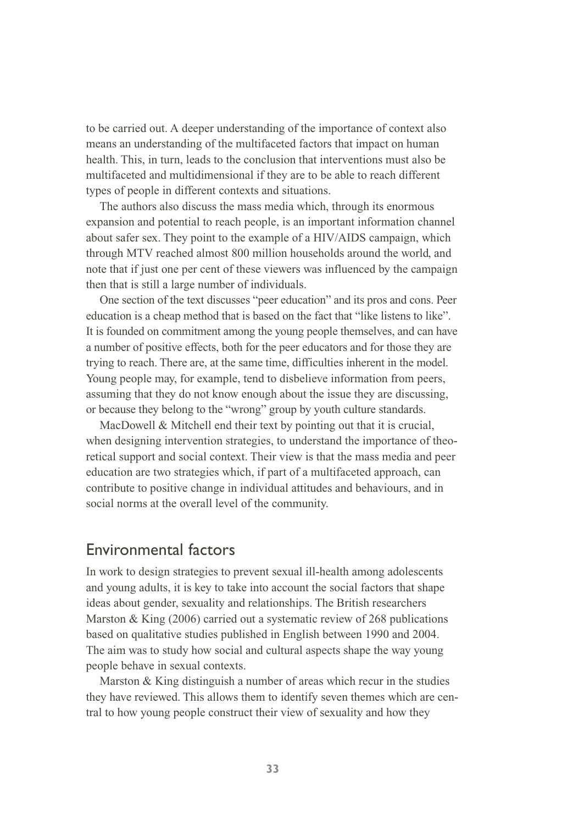behave in sexual contexts. These themes are thus also key to the different types of intervention to try to influence the behaviour of young people.

These seven themes are described by Marston & King as follows:

- 1. *Young people subjectively assess the risks from sexual partners on the basis of whether they are "clean" or "unclean".* Studies repeatedly showed that young people assess the disease risk of a potential partner on imprecise grounds. They may, for example, proceed on the basis that they know the person socially. They also often think that they can judge whether someone might be infected by external attributes such as behaviour or social position.
- 2. *Sex partners have an important influence on behaviour in general.* The nature of the partner and the partnership do not just affect condom use, but sexual behaviour in general. For example, sex can be seen as something that strengthens a relationship or as a way to please a partner. Saying no to sex can be felt as a threat to the relationship, and a failed relationship can in turn threaten someone's social position, particularly that of a girl/woman.
- 3. *Condoms can be stigmatising and associated with lack of trust.* Asking their partner to use a condom may be seen as suspicion. Intercourse without a condom can in the same way be seen as a signal of trust and confidence. In some countries and contexts, suggesting a condom can be taken as a signal that one is an STI carrier. Having condoms, or asking for condoms, can be seen as a sign of sexual experience – something which is undesirable in girls/women, although sometimes desirable in boys/men.
- 4. *Gender stereotypes are crucial in determining social expectations and behaviour.* All the societies studied had strikingly similar expectations of men's and women's behaviour. Men are expected to be highly active (heterosexually) and women "chaste". Men are expected to seek physical pleasure, but women desiring sex may risk being branded as "loose" or "cheap". In cultures where romantic love is expected to precede marriage (i.e. romance is a prerequisite for sex), girls/women are more governed by this ideology than boys/men. Boys/men are expected to scheme and plot to obtain sex, for example by making girls/women think that a relationship is serious, when it is not.

Paradoxically, despite the stigmatising effect for girls/women in carrying condoms, women are generally considered responsible for pregnancy prevention.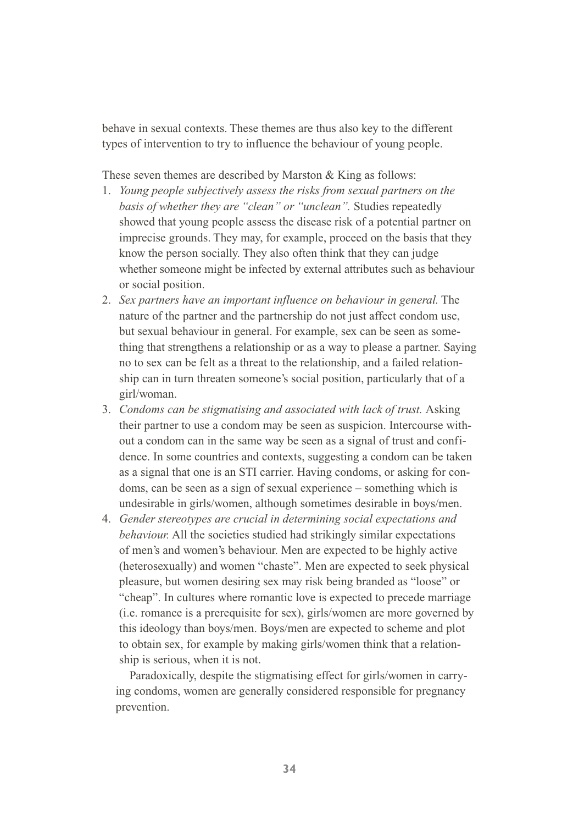- 5. *There are penalties and rewards for sex from wider society*. Social rewards and penalties influence behaviour. Complying with gender expectations can raise social status. Men can achieve higher status by having many partners. Women can do so by appearing respectable and either abstaining from sexual relations or entering into a stable, exclusive relationship with one man. Extramarital pregnancy can be stigmatising, but in some cases it can be an escape route from the parental home. Young people may behave in particular ways through fear of being caught in the act. Sex can also be a way of obtaining money and gifts from a boyfriend, something which is particularly well described for sub-Saharan Africa, but which is not exclusive to the region. The relation between individual motivations and social expectations is complex. For instance, behaviours considered risky or taboo can become desirable for that very reason.
- 6. *Reputations and social displays of sexual activity or inactivity are important.* Reputations are crucial for social control of sexual behaviour. Reputations are linked to displays of chastity for girls/women and to heterosexual activity for men. Being branded "queer", or "slut" or equivalent can lead to social isolation or even abuse.

Girls'/women's reputations are damaged by "too many" partners. Even mentioning sex can risk implying sexual experience and damage a woman's reputation. Some women in Nepal feigned ignorance of all contraceptives to preserve their reputations.

Although direct intergenerational communication about sex is rare, family members may prevent young people socialising with members of the opposite sex, to protect family and individual reputations.

Young men's reputations can suffer if they are not seen to push for sexual access and numerous female partners. Displaying heterosexual activity can thus be important for them. In Thailand, the Philippines and Cambodia, groups of men generally visit brothels in groups. Young men often report sexual experiences to their peers, sometimes in exaggerated terms, and the first sexual intercourse is often proudly recounted.

There is often a stigma attached to not having had, or being unable to have, penetrative intercourse. Young men not having sex with their girlfriends may be accused of being "gay". Some young men worry that they will be unable to achieve penetration, and may even avoid condom use for fear of loss of erection.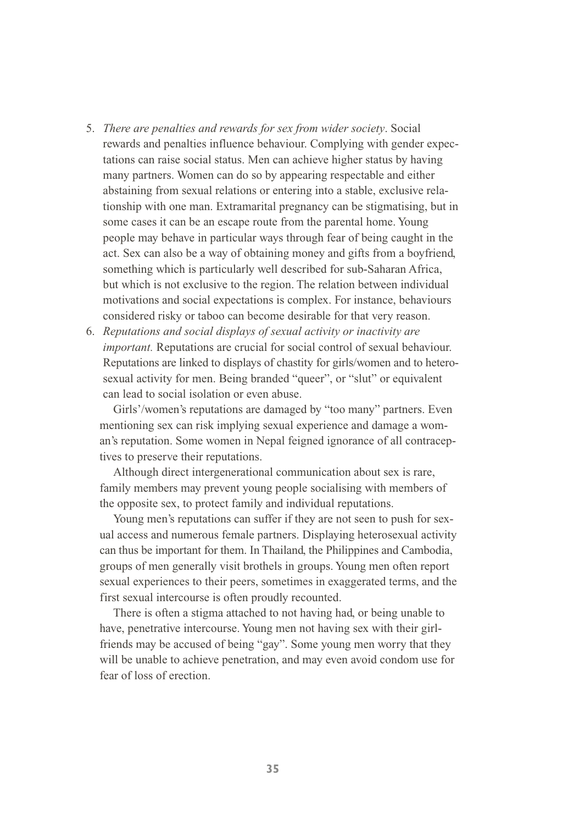7. *Social expectations hamper communication about sex.* Social pressures mean that women may not wish to mention sex or acknowledge sexual desires, particularly early in a relationship. Young people often avoid speaking openly to partners about sex. Instead, they use deliberate miscommunication and ambiguity. For instance, women may avoid saying yes directly to sex, in case they seem inappropriately willing. This makes "no" difficult to interpret.

Young men may avoid discussing sex for fear that raising the possibility may lead to loss of face or hurting others' feelings, or damage to reputation. This makes safer sex difficult to plan: if the possibility of sexual intercourse is not acknowledged, contraception is unlikely to be discussed.

Young people might also be reluctant to discuss condom use in case it is seen as equivalent to proposing or agreeing to sex. One young man in the UK said the problem with producing a condom was that "you're just assuming that you'll have sex with someone, and you don't know whether they want to have sex with you." Avoiding talk of condom use also keeps the option of refusing intercourse open.

In their summing-up, Marston  $& King$  state that there are many explanations other than the obvious ones (ignorance and difficulty in obtaining contraceptives) for why young people do not use condoms. Their view is that social aspects of human behaviour are often overlooked when programmes are being designed. The challenge for the future is to create locally-adapted programmes that take all of these seven themes into account, and which are adapted to the context in which they are to work.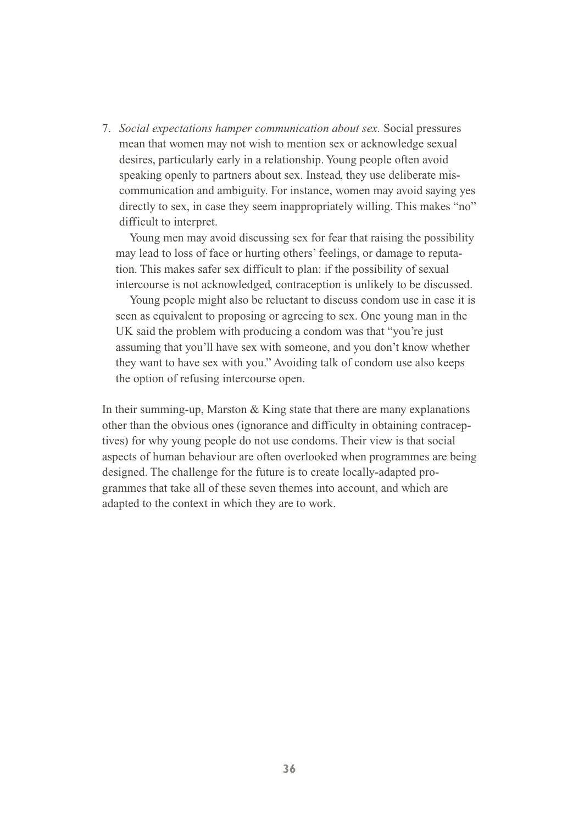# SWEDISH EXPERIENCES

Web searches for Swedish research that can provide knowledge of effective methods in the field yield very poor results,<sup>6</sup> despite the long experience in Sweden of sex and relationships education in schools, at youth clinics, leisure centres, voluntary organisations, etc. There are at least two reasons for this poor outcome.

To begin with, very few proper evaluations have been carried out of the different interventions. There is, for example, no systematic evaluating research which has studied the effects of the sex and relationships education in schools. This is despite the fact that this teaching is probably one of the earliest introduced and most consistently implemented in the world, and is often mentioned in international contexts.7

Another factor that makes it hard to find information about any evaluations through Web searches is that few researchers in the field publish in a way that leads to their results being included in various databases of research journals etc.

As a supplement to Web searches, we therefore also contacted individual researchers, organisations and authorities working with sexuality and HIV/ STIs. All Swedish county councils were also asked about evaluations of completed interventions. Five of these – Jämtland, Region Skåne, Stockholm, Region Västra Götaland and Östergötland – responded and sent texts.

The texts sent by the five county councils are largely descriptions of activities, collaboration projects, interventions targeting young people, surveying sex and relationships education in schools and so forth.

<sup>6.</sup> Searches were made in the databases Sociological Abstracts, Pubmed/Medline, ERIC, GENA and Kvinnsam. Search terms used were various combinations of youth, adolesc\*, swed\*, sexu\*, hiv, sti and prev\*. Pubmed/Medline collects papers from over 5,000 scientific journals in the fields of medicine, nursing science, science and odontology. Sociological Abstracts collects articles from over 1,800 sociology and behavioural science journals. These two databases give good coverage of journals in which texts about HIV/STI prevention are published. ERIC relates to papers from over 900 international educational journals. The Swedish database GENA contains theses on gender research. KVINNSAM, also Swedish, is an interdisciplinary database of Swedish and foreign gender science references from the stocks of the Gothenburg University Library, and contains over 100,000 references.

<sup>7.</sup> Verbal communication, Barbro Lennéer-Axelsson, former President of the International Planned Parenthood Federation/Europe Region.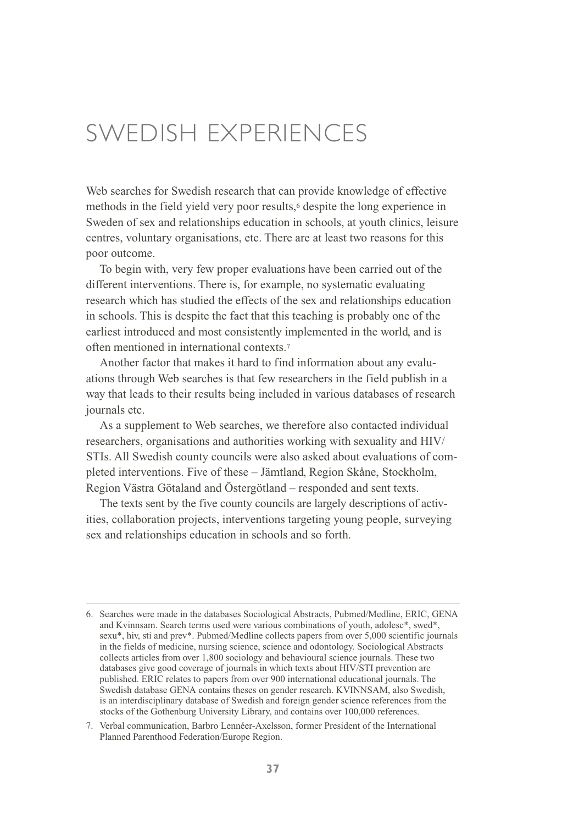They contribute important knowledge of the strategies used in Sweden today, but fall outside the scope of this summary since they do not study the effects of HIV/STI preventive measures in the target group as such (see, for example, LAFA 2002 and 2005). Some results gleaned from these texts deserve mention, however, despite not being scientific evaluations. One is "Chlamydia Monday", organised by Stockholm County Council; a broadly based campaign for free testing for chlamydia at a number of clinics around the county. During the week of Chlamydia Monday in 2006, a 35 per cent increase in laboratory testing was recorded in Stockholm. The campaign thus yielded good results with respect to drawing attention to chlamydia and persuading people to be tested (Ådin 2007). The other result is a note from the "We Always Use Protection" campaign from Jämtland county council. In this campaign, young ice hockey players in Jämtland Hockey were recruited as "ambassadors" for greater condom use. The effect of the campaign on the young population as a whole cannot be assessed on the basis of the evaluation, but one interesting aspect is that about 75 per cent of the "ambassadors" themselves, in a follow-up, responded that in private situations (at school, at parties, over a coffee), they raised the issue of condom use with people they met (Wåhlén-Götzman 2007). This result points to an increase in awareness of the subject, at least among those young people who were involved as peer educators. Another activity that is worthy of mention, primarily because of its longevity, is "Youth Counsellors" in Malmö. This activity has been ongoing since 1988, and is praised by young people themselves. One thing they like about it is being able to steer the discussions, and being able to sit in small groups and talk about sex and relationships (aspects that are both in line with international recommendations) (Person et al 2001).

Other texts produced by the National Institute for Public Health (NIPH) describe different types of experience in the field of sexuality and prevention. These include texts about sex and relationships education in compulsory schools, and evaluations of different campaigns. These evaluations focus on factors such as the extent to which a campaign reached people, how those involved felt about it, and so on. Since they do not study concrete effects in the target group "young people", they fall outside the scope of this report. Examples of such texts are Bolin 1996, Jarlbro 1997, Lennerhed 1996, Falkheimer & Palm 2004 and Falkheimer & Wallgren 2005. Some texts of this type (including the last two) are, however, described in Tikkanen's report on men who have sex with men (2007).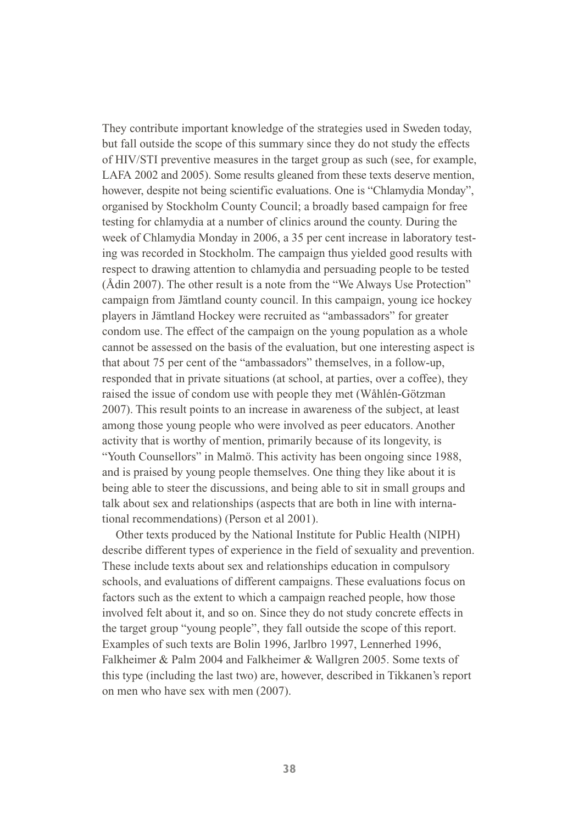Texts which more directly illuminate the effects of different interventions in the group itself – young people – are:

- • Tydén, T., Björkelund, C., Odlind, V., Olsson, S-E., Strand, A. (1994) *Effects of Specially Tailored Information on Swedish University Students' Sexual Behaviour.* Paper in the Journal of American College Health 1994;43:75-79
- • Kindeberg, T. (1997) *Undervisningens möjligheter att förändra elevernas tänkande inom området aids och sex* (The ability of education to change pupils' thinking about AIDS and sex). Thesis. Lund Studies in Education 2. Lund: Lund University Press
- • Lindblad, I (1996) Swedish Information about HIV and AIDS. A Text Analysis and Reception Study. *In Nordicom Information* 2/1996. Umeå: Department of Media and Communication, University of Umeå
- • Sundbaum, B (2005) *Genus, klass och sexualitet om genus, jämställdhet, sexualitet och samlevnadsundervisning vid några gymnasiers individuella program* (Gender, class and sexuality – about gender, sexuality and education on relationship in the individual programmes of some upper secondary schools). Master Thesis in Public Health. MPH 2005:5. Göteborg: Nordic School of Public Health.
- • Larsson, M., Eurenius, K., Westerling, R., Tydén, T. (2006) *Evaluation of a sexual education intervention among Swedish high school students*. Scandinavian Journal of Public Health, 34(02):124–131, 2006

A further text included in this compilation is

• Nationella kvalitetsgranskningar: Sex och samlevnadsundervisningen (National Quality Reviews: Sex and relationships education). Report from the Swedish Board of Education, 1999.

The Quality Review did not include an evaluation of effects on young people's attitudes, knowledge or behaviour. The reason why this text is referred to here is that it is the only one that has made an overview of sex and relationships education in Swedish schools, education which in its scope and ambition must be regarded as the most central context for promotive and preventive sex and relationships education targeting young people.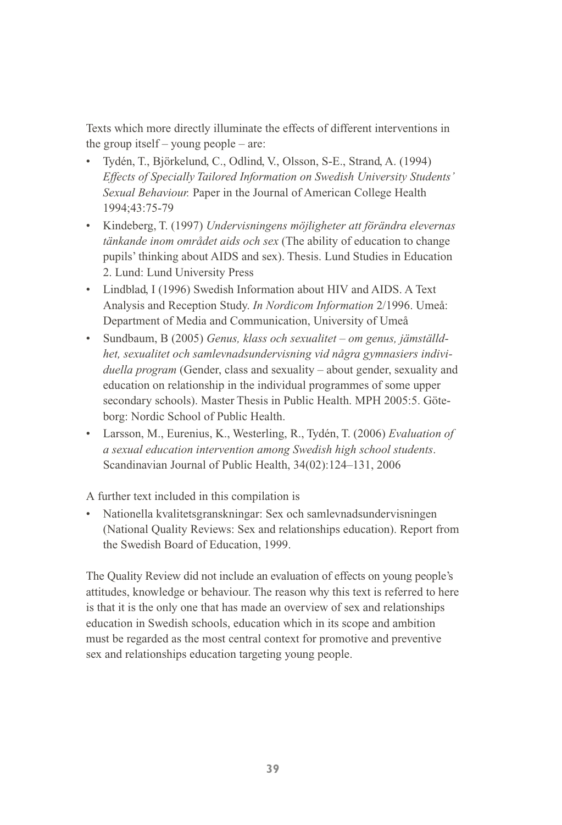Tydén et al. (1994) **Effects of Specially Tailored Information on Swedish University Students' Sexual Behaviour**. Paper in the Journal of American College Health 1994;43:75–79

In 1990, a campaign was carried out targeting university students in the city of Uppsala (about 20,000 people). The goals of the campaign were to boost knowledge of STIs and get students to test themselves, and to create a positive attitude to condoms. The campaign consisted of newspaper articles, jingles on the student radio station, brochures designed especially for the campaign and distributed to students, and posters designed specially for the campaign that were put up in places frequented by students. There were also exhibitions and drop-in talks, and condoms were provided free during the campaign.

Evaluations showed that students developed greater awareness of STIs and of the great prevalence of STIs in their own group (students). However, fewer than one per cent of students went to be tested for STIs as a result of the campaign. The campaign on the whole was well received among students, but did not lead to any changes in attitude.

#### Kindeberg, T. (1997) **Undervisningens möjligheter att förändra elevernas tänkande inom området aids och sex (The ability of education to change pupils' thinking about AIDS and sex)**. Thesis from Lund University.

In this thesis study, Kindeberg followed 13 teachers and their 15 classes for two years during lower and upper secondary education. They were given instruction on "AIDS and sexuality". The study also included a control group of five teachers and nine classes. Pupils' knowledge, attitudes and readiness to take action were examined on three occasions over the period of two years using questionnaires and in-depth interviews. The project teachers carried out their work independently, but with the condition that the teaching about "AIDS and sexuality" would be in-depth and should recur regularly throughout the two years. The teachers documented all training and answered questions about their own role as teachers on two occasions. The teachers in the control group had a free hand, which meant that the four upper secondary classes did not receive any instruction on "AIDS and sex" during this period and that the teaching in three of the five compulsory school classes consisted of three weeks' work in grade 8 with two lessons of follow-up in grade 9.

After one year, at the second follow-up, there were no differences between "project classes" and "control classes" with respect to factual knowledge, attitudes or preparedness. This result surprised the participating teachers and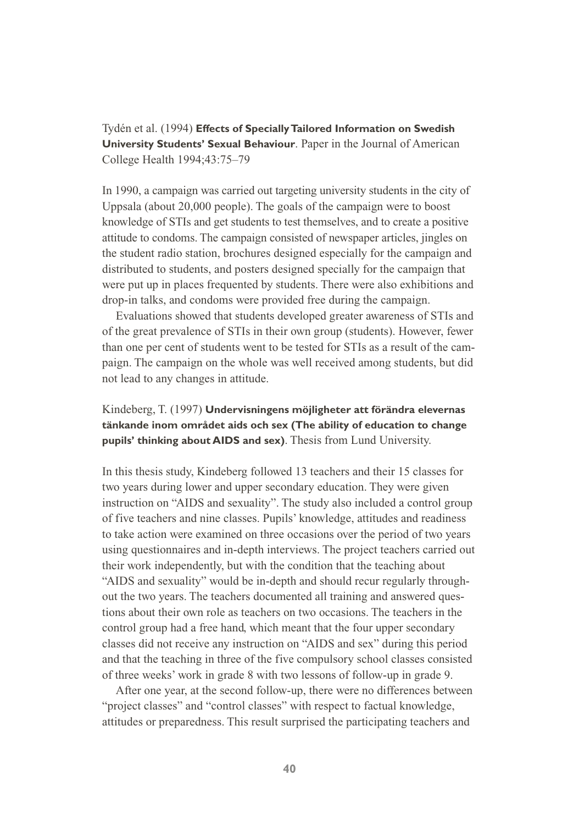the researcher. Analysis of the in-depth interviews after the first and second occasions showed that the pupils did not think that the teachers had been sufficiently credible in their communication, and so the pupils had not found the teaching meaningful. It transpired that the teachers had relied on various methods and aids instead of seeing themselves as an important resource.

"For teachers, communication is often associated with a choice of methods. […] Choice of methods is often regarded as being decisive in how you succeed in your teaching, and has gained much higher prominence in educational research than has the teacher's ability to communicate. [...] It is rarer for focus on communication to deal with language as an expression of thoughts and feelings that gain meaning in interactions with others. Communicating, then, is more about practising social interplay" (1997:154–155).

Research in recent years has come to clearly focus on the teacher's professional personality and its importance for pupils' learning. The study shows that a number of teachers during the year became better at creating a credible relationship with their pupils. This change in the project teachers affected pupils' readiness to take action in a positive direction. The primary change was in pupils' thoughts about their personal responsibility in situations where there was an infection risk. The thesis then discusses qualities in the verbal relationship between teachers and pupils, and its importance in the feelings that are created in the actual teaching situation. Kindeberg writes:

"In-depth teaching requires the teacher to be prepared to provide guidance on the basis of his/her experience and values. It is not enough to examine terminology. If pupils are to feel touched, teachers must create a sense of inquiry about their own experiences and those of others" (1997:138–139).

She continues:

"In an in-depth teaching situation, the teacher knows how the subject is to be applied. The teacher is knowledgeable and aware of his/her own positions. The teacher has a personal commitment and relates subject terminology to real situations. The pupil is touched, and responds to the teacher with his or her own experiences" (1997:171–172).

Kindeberg's key conclusion, then, is that the teacher's ability to create a credible and trusting relationship with pupils is crucial if the teaching is to be able to "promote a process of change and affect the pupils' action-oriented thinking" (1997:171).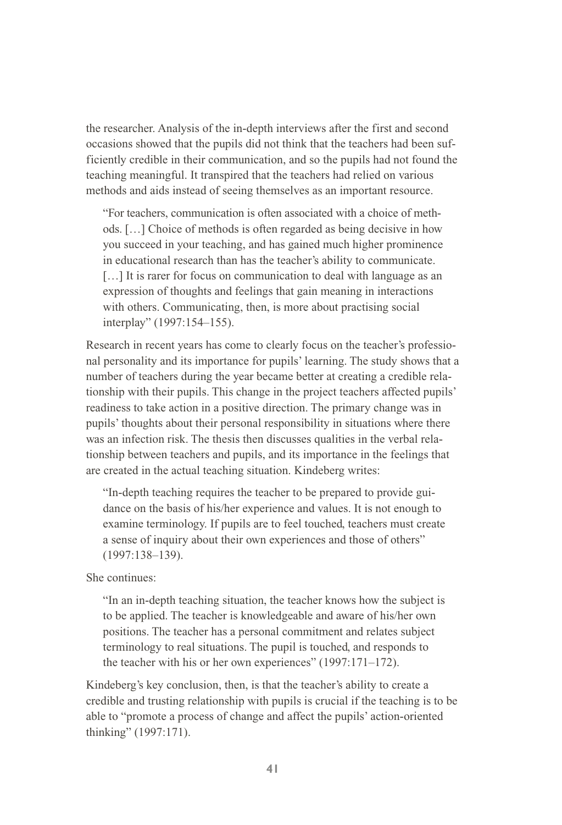Lindblad, I (1996) **Swedish Information about HIV and AIDS. A Text Analysis and Reception Study**. In *Nordicom Information* 2/1996. Umeå: Department of Media and Communication, University of Umeå

This 1996 text analysis and reception study is based on three different types of data material:

- 1. A review of information and campaign materials about HIV and AIDS produced by the National Institute for Public Health;
- 2. A questionnaire answered by 406 18-year-olds and 50 adult students;
- 3. Small group interviews with a total of 60 young people (18 years old). The purpose was to examine where young people obtain their knowledge of HIV/AIDS, how the information affects them, and how they themselves communicate on these issues.

Lindblad notes that many of the young people are critical of the information they receive, and that it is hard to reach them. What young people want, among other things, is clear information about the risk of becoming infected "here and now", and the author's view is that a lack of this type of information helps create a lack of confidence in the value of information from public authorities. One conclusion is that information should be designed in close collaboration with each respective target group. Text and images should be clear and straightforward, unambiguous and adapted to the youth culture they are intended for. Another conclusion is that young people do not want to be told how to act, but instead want complete factual information and knowledge, and then to be trusted to use it as a basis for their own informed decisions. Lindblad writes: "In short, information should be more descriptive, and less prescriptive" (1996:11).

Sundbaum, B (2005) **Genus, klass och sexualitet – om genus, jämställdhet, sexualitet och samlevnadsundervisning vid några gymnasiers individuella program (Gender, class and sexuality – about gender, sexuality and education on relationship in the individual programmes of some upper secondary schools).** Master's Thesis in Public Health. MPH 2005:5. Göteborg: Nordic School of Public Health

In this Master's thesis in Public Health, an extra element of sex and relationships education was implemented and studied at six upper secondary schools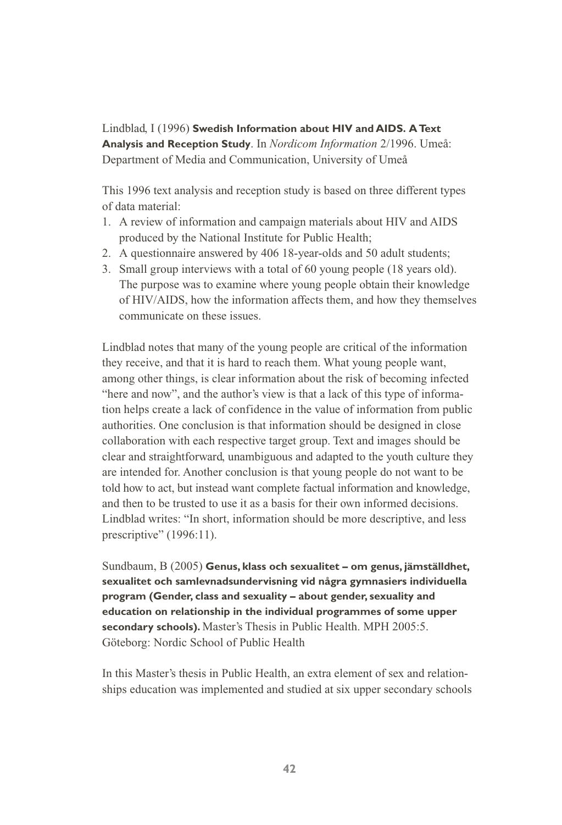with individual programmes<sup>8</sup> in different parts of the country. Seven matching schools acted as a control group. The element comprised 15-20 lessons on sex and relationship, and its effects were measured by a questionnaire before and after. Pre-measurement, intervention and post-measurement took place in October–December 2001. The project is not described in detail in the text, but it is clear that the participating teachers were given a special introductory course which included discussions of their own values. During the course, the teachers worked in gender-specific groups, alternating with discussions and lectures in the whole group. Sundbaum writes: "The course was based on the same educational methods that the teachers were expected to apply in the practice lessons, in that the personal experiences and views of the participants were an important foundation" (2005:19).

Results of the evaluation do not show any significant differences between test and control schools in the aspects that were measured. In the result report, Sundbaum therefore notes that: "The study thus does not lend any support to the idea that time-limited sex and relationships education with a gender equality perspective generally affects pupils' attitudes, ability to communicate on sexual issues or contraceptive use" (2005:30).

Larsson, M., Eurenius, K., Westerling, R., Tydén, T. (2006) **Evaluation of a sexual education intervention among Swedish high school students**. Scandinavian Journal of Public Health, 34(02):124–131, 2006

An intervention focusing on four upper secondary (high) schools in two medium-sized Swedish towns was carried out in October 2002–December 2003. Four other upper secondary schools functioned as a control group. The intervention was provided for a total of 461 pupils studying on vocational programmes.9 The intervention dealt with condom use and emergency contraceptive pills ("morning-after pills") and began with a twenty-minute lesson on morning-after pills. A week or so later, there was a 40-minute session with information providers from the "Love Emergency Clinic".10 These sessions, which were largely about condoms and condom use, were led by a female and

<sup>8.</sup> The upper secondary individual programme is one which brings together pupils who have not passed all subjects, who lack motivation to study or for various reasons have dropped out of studies on one of the established national programmes.

<sup>9.</sup> The initial questionnaire was answered by 390 pupils (85 per cent). After one year, 23 pupils had moved and of the remaining 367, 326 (89 per cent) answered the concluding questionnaire.

<sup>10.</sup> The "Love Emergency Clinic" is a voluntary sex education project run by medical students and exists in all towns with medical schools.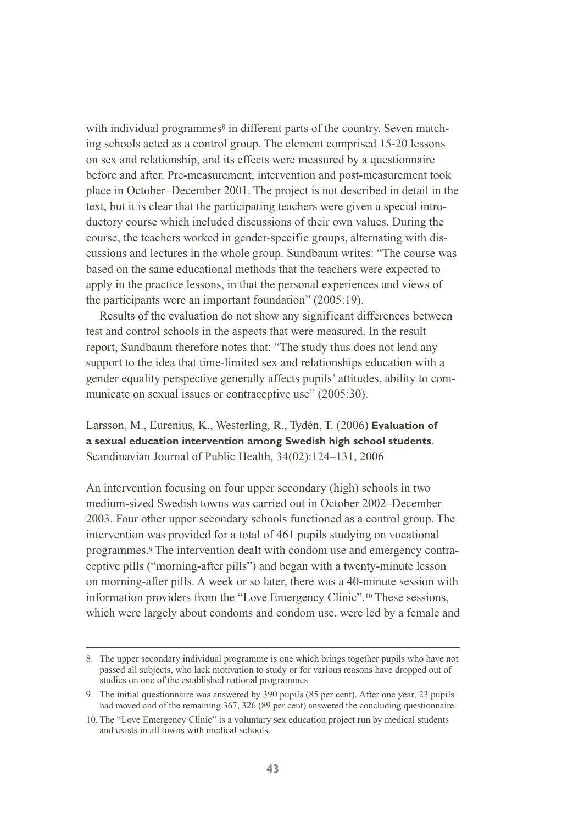a male information provider and the educational tools used were warm-up exercises, values exercises, discussions and dramatisation of situations. Groups were mixed-gender and single-gender. Apart from this, pupils were given a "VIP card" which entitled them to free condoms from the school nurse during the year of the intervention, and they were also given the phone number of a midwife whom they could call for individual advice on contraception.

The results of the intervention demonstrated that the pupils had good knowledge of condoms when the intervention began, and that it thus did not add anything in this respect. One change, however, was that "friends" was ranked as the first information source before the intervention, while after the intervention a majority ranked "school" first. Some attitudes to condoms did not change: sixty per cent felt that producing and putting on a condom ruined foreplay, and 88 per cent felt that sex is better without a condom. Other attitudes were affected however in the intervention group compared to the control group, such as the attitude that a condom is solely the man's responsibility and that it is embarrassing to buy condoms. Condom use increased somewhat, and there were also more in this group who thought that they themselves had become better at talking about condoms and found it easier to buy them after the intervention.

#### **Nationella kvalitetsgranskningar: Sex och samlevnadsundervisningen (National Quality Reviews: Sex and relationships education) (1999).**

The quality review of sex and relationships education was carried out in the autumn of 1999 by the Swedish Board of Education, and consisted in 13 educational inspectors studying a total of 80 schools (51 compulsory comprehensives and 29 upper secondaries) in different parts of Sweden. The inspectors studied the quality of education from five perspectives, and in the final analysis the eighty schools fell into three groups (groups 1, 2 and 3). The Quality Review did not include an evaluation of effects on young people's attitudes, knowledge or behaviour.

The review found that there are often no local written objectives for sex and relationships education. There is a great lack of control by head teachers, so no consistency in the quality of teaching is achieved. They found that "the results from all schools showed wide variation, not only between schools but also within individual schools" (p. 52). The review also points to a need for more evaluations of completed interventions. They also write that "because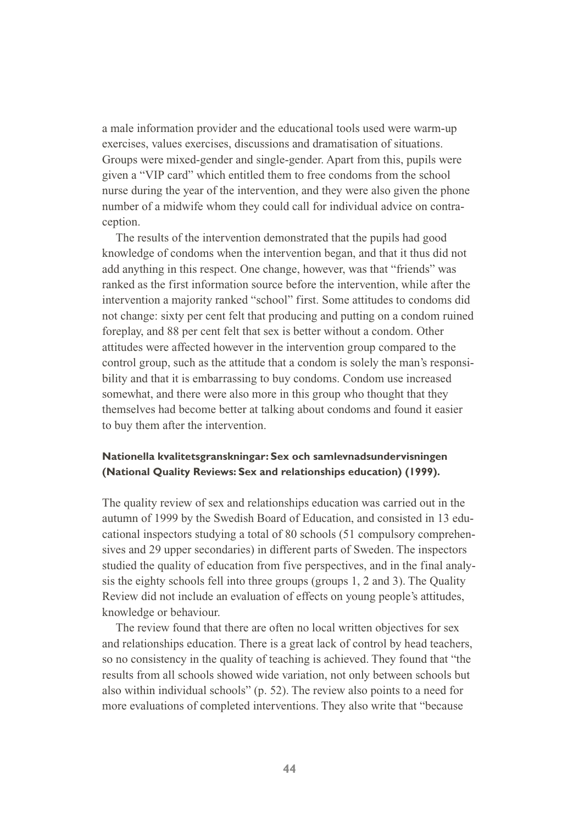objectives are largely lacking at from all levels, it has been difficult to assess quality and results of the education that the pupils receive" (p. 97).

The content of sex and relationships education is also discussed. They note that "teaching at the schools studied is more often informative than exploratory" and that "at a number of schools, teaching is stuck in a traditional knowledge-conveying role and does not see that important knowledge is generated in the dialogue itself" (p. 83).

The review highlights a number of perspectives which the international reviews note are key to effective preventive work. For example, they make particular mention of schools that use a *varied work method* – theme work, theatre, drama, role plays, value exercises, films, discussions in large and small groups; *gender awareness*, in which the differing needs of girls and boys are discussed in discussions in single-sex groups (p. 83). They stress the importance of *pupils having influence* – that they are able to influence the teaching and that one of the points of departure of the review is that sex and relationships education is to be based on a "classroom atmosphere characterised by dialogue".

They provide examples of how pupils sometimes are allowed to write down various themes that are later to be raised in the teaching, and write:

"But if the pupil writes 'contraception', it is up to the teacher whether the pupils will be "informed", or be provided with time for reflection in which "contraception" can be set in relation to the young person's own thoughts about sexuality, insecurity, fears, etc." (p. 85).

The study stresses the importance of finding a balance between *promotion* and a *risk* or *disease perspective*. One of the difficulties described by teachers in the interviews is being able to balance the dark and light sides of sexuality and sex and relationships – the desire, joy and energy of sexuality in interpersonal relationships, but also disease, unwanted pregnancy, violence, abuse and death. What is crucial in raising the quality of sex and relationships education, according to the study, is control by head teachers of *targets*, skills acquisition, follow-up and documentation. Very few schools fulfilled the control target, so few were in group 1.

The quality review formulates a number of proposed measures, and its final section is provided here in full:

"The results of the review thus provide reasons for taking steps at a number of levels. At national level, there is a need to clarify and develop the area of knowledge about sexuality and relationships.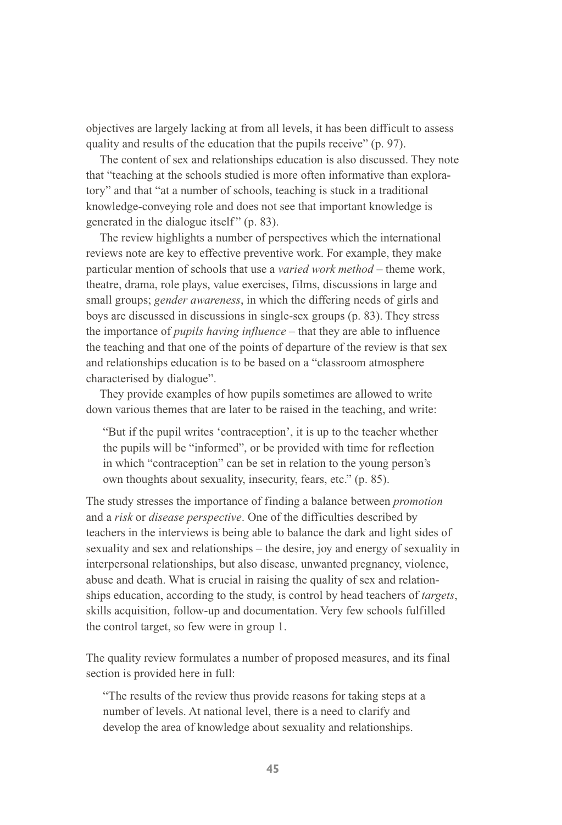At local level, we also need skills-developing measures suitable for the diverse needs of different personnel categories. In such measures, the results of many knowledge and research fields must be reformulated so that they become educational tools to teach children and adolescents. The review also points to the need of skills acquisition measures to develop work methods in the field, but also the confidence necessary to teach in a field that school heads and teachers may feel a lack of confidence about.

This ties in to interventions that can be immediately undertaken at local level, since skills acquisition can be initiated internally too, by utilising existing resources among teaching staff. Schools must also put systems in place, and document what is done at their own school, and come together to formulate clear goals and plans for sex and relationships education. Pupil participation in planning and follow-up of the teaching provided is also a clear task. The joint work in the teaching group, combined with control and coordination by head teachers, can make sex and relationships issues the interdisciplinary knowledge field they should be" (p. 99).

These proposed measures are all in line with the conclusions of international research reviews. They are also consistent with Kindeberg's conclusions (see above).

# Sweden – a Part of the World

As already described, Sweden has a long tradition of work in the field of sexual health, in the broad sense of the term. Knowing the many aspects of this work, and the experiences gained, it is remarkable how invisible it is in the international overviews, and it is also striking how few texts have been published in other countries by Swedish researchers and other actors.

Can we, then, say anything about more overarching effects of the work conducted by various actors in Sweden? On a few occasions, the international reviews make sweeping references to northern European or Swedish results as "promising". One such example is the report "Effective Health Care" (1997), which contains the passage:

"Research from northern European countries indicates that openness regarding sexuality, educational measures and their content, and access to contraceptive advice contributes to lower figures for teenage pregnancy" (p. 3).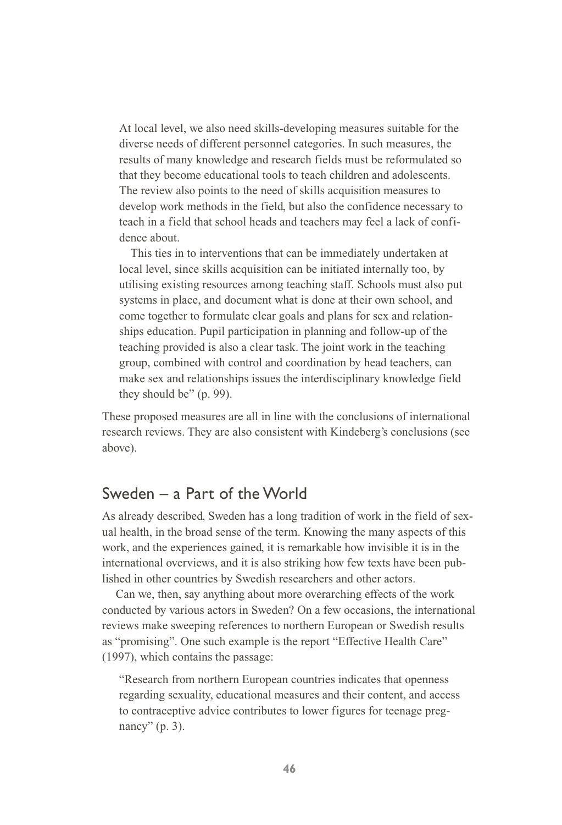Another section in the same report makes particular mention of a "promising interdisciplinary project" which has not yet been evaluated. This project "is based on a Swedish model in which school teaching is combined with group study visits to local clinics" (p. 4).

A 2001 article (Ahlberg et al.) compares young people in Kenya and Sweden.11 The authors say that the most striking differences between the two countries are young people's knowledge of sexuality and their ability to talk openly and freely about these issues. They write that the great lack of knowledge of basic issues, misunderstandings and lack of information prevalent among Kenyan adolescents is alarming. The authors' conclusion is that this is a result of the silence that surrounds sexual issues in Kenya, of which they are highly critical. They do, however, see similarities between Swedish and Kenyan adolescents, including in the gender roles which hamper communication, and in the way in which social standards control communication and behaviour in sexual relations.

<sup>11.</sup> The article does not describe evaluations of any particular measures, and is therefore not included in this summary; it is, however, still of interest in our context.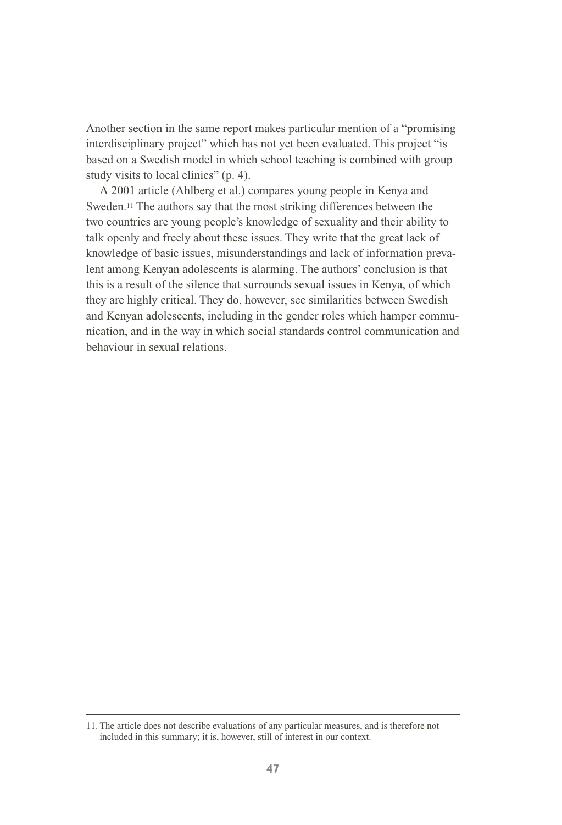# CONCLUSIONS

A number of the international reviews bring up similar themes, and their conclusions are very similar. At the same time, they are expressed differently and it is, in some cases, hard to summarise their results. Basic starting points, however, are that young people learn about sexuality from a number of different sources, but also that it is possible to learn safe and responsible sexual behaviour.

In the reports, it is often unclear *what* it is about an intervention that has effects in the target group. This is partly because of the overarching level at which the international reviews are working – the discussion is, so to speak, too far from the actual interventions for them to be able to provide concrete descriptions of them. This is also in part a more general problem which has been raised by the WHO report and others, where it is discussed as a recurring problem in the evaluations of individual projects studied (2006:333).

A systematic review of the various recommendations of the international reviews and of the experiences gleaned in Swedish contexts can, however, be organised into the following themes:

- Young people as a target group
- Actors and arenas
- Intervention structure
- • Content of interventions
- Communication
- **Evaluation**

In the presentation of these six areas, given below, the themes highlighted by the reports studied are shown in bold italics. The subsequent discussion provides some thoughts on the various areas, from a Swedish perspective.

## Young people as a target group

From a population perspective, young people are the age group that is central to HIV/AIDS prevention work (WHO 2006).

The seven areas defined by Marston & King (2006) deserve repetition here, since **it is vital that they are taken into account when designing intervention strategies targeted at adolescents in general**.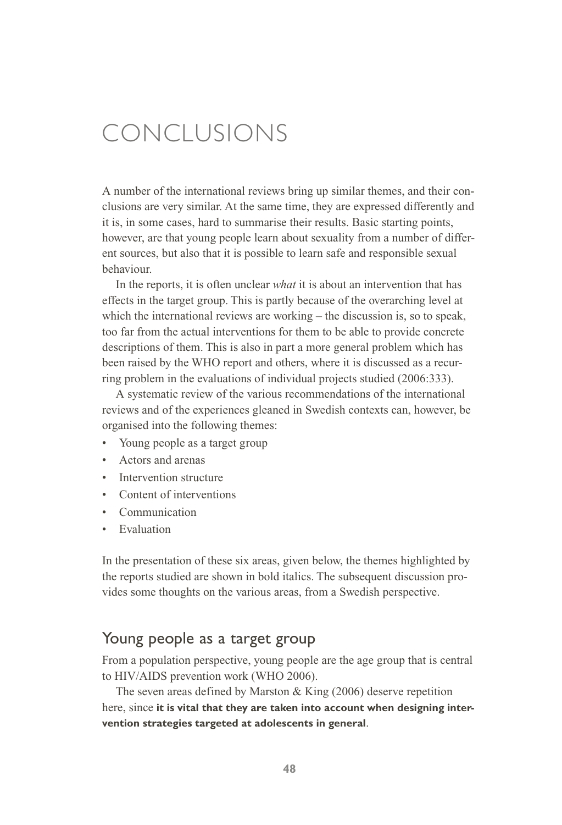- Young people assess "risk" with respect to sexual partners on the basis that they are "clean" or "unclean";
- Sexual partners have great influence on sexual behaviour in general;
- • Condoms can be stigmatising, and associated with lack of trust;
- • Gender stereotypes determine social expectations and behaviour;
- There are penalties or rewards for different types of sexual behaviour at community level;
- • Reputations, and social display of sexual activity or inactivity, are important;
- • Social expectations can hamper communication about sex.

A number of the reports also point to the fact that young people are a heterogeneous group and that **interventions must be designed for the specific needs of each smaller group**. Circumstances of particular note are sex, age, cultural background and sexual experience. It is also noted that wellimplemented intervention programmes help delay first intercourse, and that those who have not yet debuted sexually are more affected by various interventions than those young people who are already sexually active. At the same time, two review articles [Impact of HIV and sexual health education on the sexual behaviour of young people (1997) and Mullen et al. (2002)] show that measures directed at the latter group have also yielded good results.

More overarching interventions which are also needed are broad development programmes to support young people on their road to adult life: guidance, mentorship, discussion in small groups with caring adults, readily available health care, various stimulating activities and measures to promote youth employment.

#### *Young people most at risk*

It is a well-known fact that every generation of young people contains a small group of individuals who, often for psychological or social reasons, are more at risk and also put themselves at risk more than their peers do (see, for instance, Berg Kelly 1998). With respect to HIV, young men who have sex with men are another group most at risk. It is important to pay attention to these groups and **draw up strategies to reach them and create interventions that can appeal to them**.

In some of the international reviews, there is a hint of programmes focusing specifically on groups at risk having achieved clearer effects than those focusing more generally on "all" young people. This applies regardless of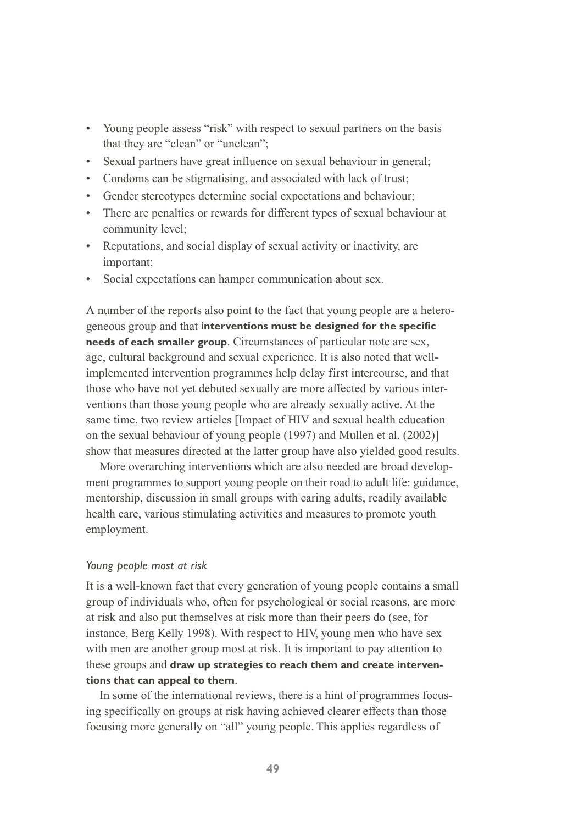whether young people at risk are included in the MSM group<sup>12</sup>, are socially vulnerable (e.g. the subject of measures by the social services) or already HIV positive. The 2006 WHO report notes that measures focusing on groups most at risk have often proven effective, but their view is that these results, more than has been the case so far, should be discussed on the basis of different age categories in the groups most at risk.

The report *No Easy Answers* (Kirby 1997) discusses why some of the studied programmes – namely, those focusing on young black people – yield better results than others. The author notes that HIV in heterosexuals is more common among blacks than among whites or Hispanics, and says that one result of this "may be that young black people are more receptive to HIV/ AIDS information" (p. 27).

### Actors and arenas

The international reports are in almost total agreement in their conclusions about **the school as the central arena** for education about sexuality and relationships.

School is the place where practically all young people can be reached, and it is those programmes which are implemented as a defined teaching situation which appear to yield results in the shape of a lower degree of risk-taking among young people. The work done in schools is later reinforced by implementing measures in the other local and social contexts in which the young people live, and which are in line and dovetail with the school-based work. This means that youth clinics, youth clubs and other clubs should be brought on board and **that different actors working together** can improve the chances of success of intervention programmes. It is also an advantage if the actors working together have **differing backgrounds** in theory, research and training about sexuality and HIV. They also stress the importance of **outreach work**, in schools and in the community at large. **Peer education** is an area with potential, but it needs to be developed and carefully studied before going on to large-scale implementation.

**Access to contraception** – in this case, condoms – knowledge of where to obtain contraception and **easily-accessible clinics** are presented as key aspects of effective preventive work. These clinics must also be **adapted to the specific needs of young people** with respect to opening hours, specially trained

<sup>12.</sup> MSM is a generally-used abbreviation in work with sexual issues, and stands for Men who have Sex with Men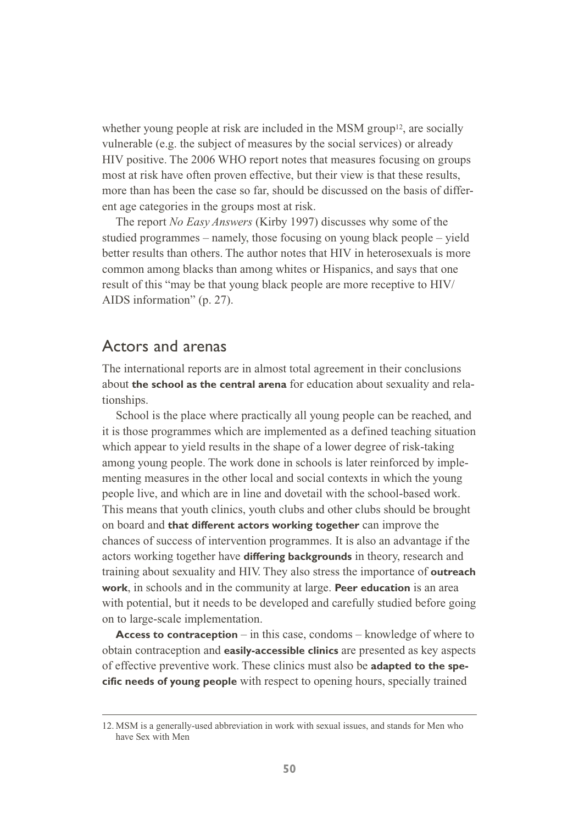staff and other factors, and they are need to attend to non-medical needs and be able to involve partners in their work.

At community level, the effects of **mass media information** and campaigns should not be underestimated. Although there is no evidence that they can affect circumstances such as the number of partners or the age of first intercourse, the results of the evaluation do show that they affect knowledge of how HIV infection takes place, condom use and some social standards, and that they encourage discussion about HIV/STI and awareness of clinics for advice and care.

#### Intervention structure

A number of the review reports discuss frameworks and conditions for intervention programmes. They point to the importance of interventions being **designed for local conditions, broad in their approach and taking place over a long time**. Two of the reports also provide specific recommendations with respect **to the scope** that an intervention should have. Their view is that at least 14 hours' total work is required, or that the work takes place in smaller groups with their own leaders.13 It is also important **to deal with different subjects in a logical order**.

The reviews also point to the requirement that staff who are to work on the intervention must be provided with adequate **training** to implement the specific programme or activities. They also raise an additional aspect, which is not just that staff should receive training, but that it is also important that those working with an intervention are also genuinely **interested** in it.

They also stress that it is important, when an intervention programme has been designed, to also **complete it as scheduled**. This fosters stringency in the work and allows the opportunity to evaluate it. Fulfilling a specific programme must not, however, prevent adaptation to the target group in question.

Finally, they underline the need **to gain and build support from the relevant authorities**, and to design interventions that are in line with the overall values of the community and which have the necessary resources in terms of money and staff. In some cases, they may also have **to overcome resistance**  from the young people themselves, or from their parents, before an intervention can be implemented.

<sup>13.</sup> The two reports that specify the time frames are Kirby 1997 and UNAIDS 1997. Both refer to the research by Kirby, who initially formulated these recommendations on the basis of previous reviews of the field.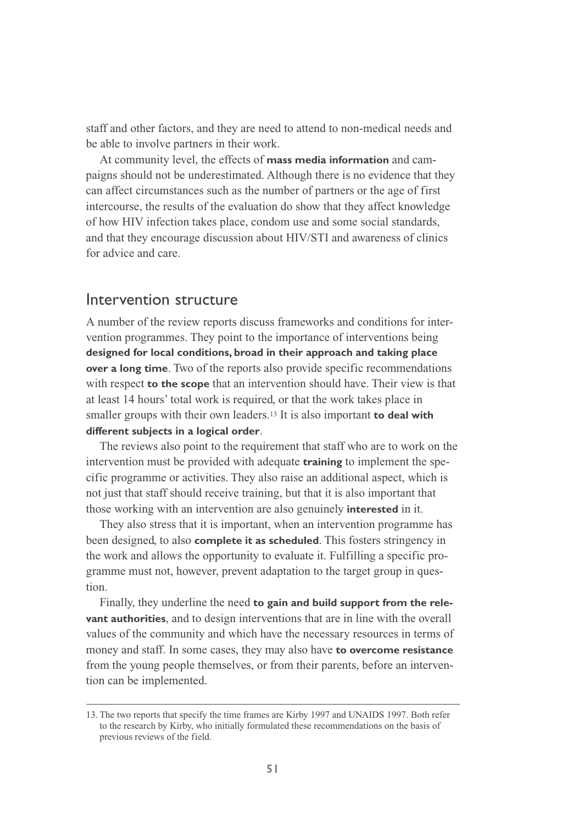# Content of interventions

With respect to the actual content of preventive interventions, the reviews describe a number of different aspects that are included in successful programmes.

To begin with, several of the international reviews discuss interventions that have not yielded results. They note that **messages about abstinence, for instance, do not lead to abstinence or delayed first intercourse**. Some studies actually indicate the opposite. They also say that **access to contraception and teaching about sex and sexuality does not result in young people becoming more sexually active**, something which is sometimes asserted by opponents of such measures.

What is important is that the interventions are **based on knowledge that is grounded in theory**. Examples given are social theory<sup>14</sup> and cognitive theory. On the other hand, however, they emphasise the importance of basing various interventions on **the wishes and views of the young people** themselves and in producing interventions in an interplay with young people. Both these aspects should thus be taken into account when designing interventions.

Effective interventions also contain **strategies and activities to counteract some social messages**, such as those that exist in the form of peer pressure and messages in some media, and which can encourage unprotected sex. Instead, there is an attempt to strengthen the purpose of the intervention and **develop group norms against unprotected sex**, using age-appropriate discussions about values. Young people also need **practice in interpreting media messages** and the ideology and assumptions underpinning them.

Against the background that insights on a phenomenon do not necessarily govern how an individual acts, it is important to **focus on behaviour**, not knowledge and attitudes. It is important to **define health targets, risk factors and protective factors**, and to **work on as many as possible of these factors**  that affect sexual behaviour, but at the same time make an effort to produce a limited number of messages about them, and **not provide too much information** about each message.

The messages given in the intervention must, on this basis, be **clearly formulated**, regardless of whether the message is about how different contraceptives work, where they can be obtained, or whether arguments are being presented for using condoms. Finally, it is important to be clear in information about **the negative effects of unprotected sex** and **to convey an idea of** 

<sup>14.</sup> "Social theory" is unfortunately not specified more closely in the texts.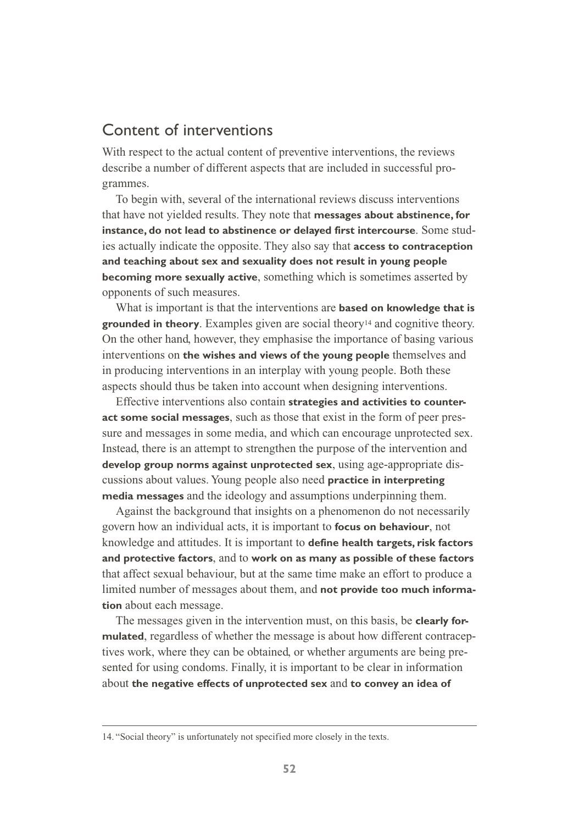**what type of behaviour is desirable** – protected intercourse for example – with the objective of avoiding such negative effects.

## Communication

What, then, works in the actual interventions? What is it that means that individuals or groups can be reached in such a way that they choose to act differently than they would have done? Few of the international reviews provide a clear answer to this basic question. At the same time, some of their conclusions are about concrete teaching methods. This is also discussed in some of the Swedish texts, which, not being reviews, discuss on a level that is closer to practical work.

The international reviews and the Swedish studies both stress the importance of **creating a secure social environment** which also makes it possible to work with **active and involving teaching methods** in interventions. Examples presented include dialogue and discussion of different issues, evaluation exercises, role play or dramatisations and study visits to youth clinics.15

They also hold the view that it is key to have **open communication** about sex and an **awareness of how different messages are communicated** to achieve a situation in which young people think at a personal level about how different actions can have different consequences, communication that reaches each individual on the basis of his or her own situation, thus enabling them to personalise the information.

Here, it is worth repeating Kindeberg's key conclusion that the **teacher's ability to create a credible and trusting relationship** with pupils is crucial if the teaching is to be able to "promote a process of change and affect the pupils' action-oriented thinking" (1997:171).

<sup>15.</sup> The international reviews do not mention youth clinics, but rather family planning clinics in general.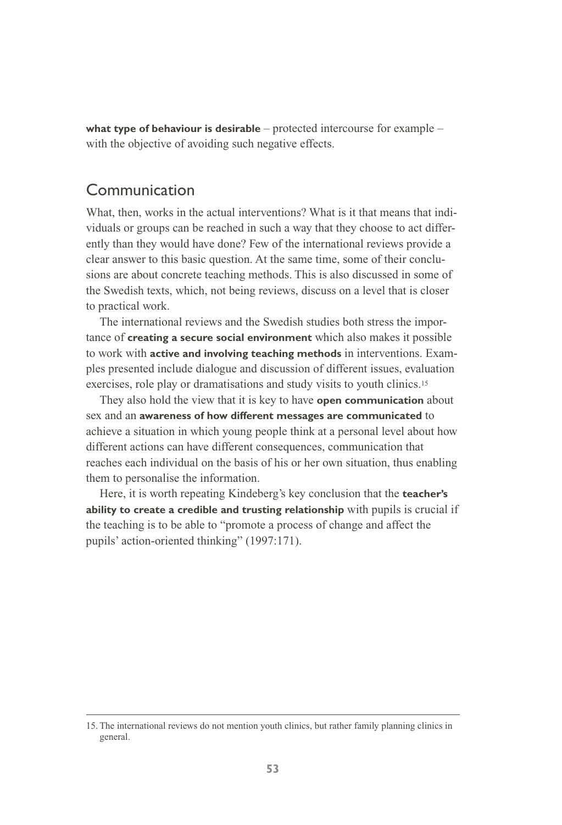## **Evaluation**

To develop more successful and stable intervention strategies, all reviews **ask for more consistent evaluation and research** into different interventions and intervention programmes. They also ask for interventions to be carried out in the form of **pilot projects** which are evaluated before decisions on large-scale implementation. The WHO report on HIV prevention in developing countries warns against drawing the conclusion that programmes that have not attracted much attention or been widely implemented are less effective than those that have "made it". Here, they draw attention to the need to design interventions in a way **that enables evaluation**, and the importance of **ensuring that evaluation actually takes place**.

The WHO report also reviews the various difficulties associated with evaluating HIV prevention measures. These were mentioned in the presentation in Chapter 4 of the report, but bear repetition here. For example: they note that **interventions to prevent HIV are complex, and that it is difficult to measure interventions targeting young people**, not least because it is difficult to distinguish the effects of an intervention from the effects of other phenomena in the lives of adolescents. Interventions targeting individuals differ from those at community level, a factor which **makes it difficult to standardise evaluation strategies**. The context in which an intervention takes place can impact on the result, which is **why evaluation results are not always generalisable. Research results can also be understood in different ways**, not least due to the disciplinary background of the recipient.

At the same time, the reviews agree that **interventions should be evaluated** and that new **interventions and programmes should be based on systematically evaluated experience** of previous measures. Recommendations for systematic evaluation can be found in Chapter 4 of the WHO report. They are also repeated in this report.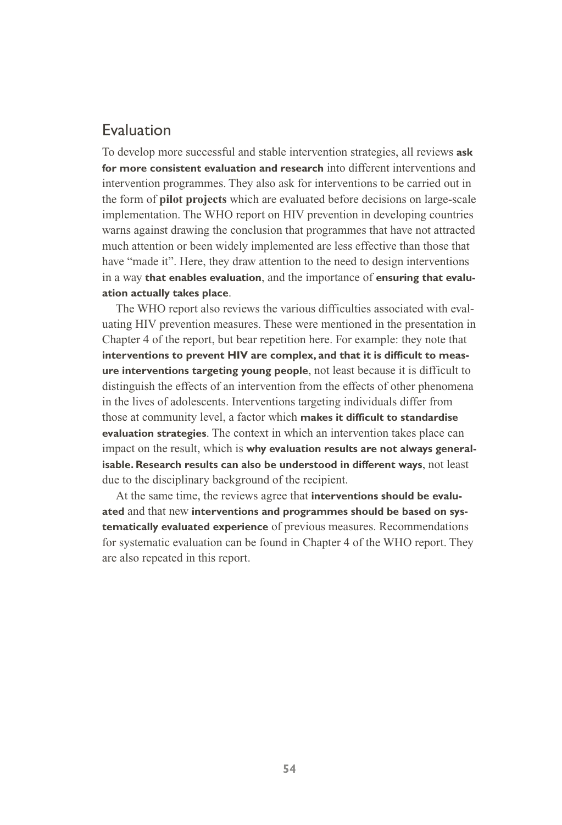# DISCUSSION

The aim of this project was to search for effective types of intervention with respect to HIV/STI prevention targeting young people. The project consisted in reading five international reviews on prevention in the field of sexual health and searching for, and studying, corresponding Swedish material in this field. During the work, some other international texts have also been added to the assignment.

It is natural that there should be a clear difference between the international reports, which each consist of summarising reflections on a large number of studies, and the Swedish ones, which consist of delimited studies in a Swedish context. It is also natural that conclusions drawn in the international reports must be read and transposed to Swedish circumstances.

What, then, are these Swedish circumstances? How do Swedish young people act on issues to do with sexuality and relationships? What is the profile of the target group "young people" in Sweden? What opportunities are there in Sweden to work on HIV/STI prevention with this target group?

The headings **Environmental factors** and **Young people as a target group** present seven themes which come from studies from around the world defined by the researchers Marston  $&$  King (2006). The authors support each theme with a number of international references. What is the relevance of these seven themes to Swedish conditions? In large areas of the world, the view of teenage sexuality, and above all perhaps the view of that of girls and young women, is more restrictive than Sweden's (see e.g. Lewin 1991 and Forsberg 2005).

Despite this, the seven themes discussed by Marston & King are also clearly familiar in Swedish contexts. For example, a review of Swedish research into youth and sexuality found that gender is of crucial importance in circumstances and experience of sexuality – including in Swedish contexts (Forsberg 2006). These seven themes should thus be carefully taken into account in designing strategies for HIV/STI prevention, as in other contexts where work is being done to promote sexual and reproductive health.

The discussion about particularly vulnerable or adolescents at risk is also familiar in Sweden. In each young generation, there is a small group of young people who are more vulnerable to various types of risk and who also take more risks than their peers. This is a key group to work with.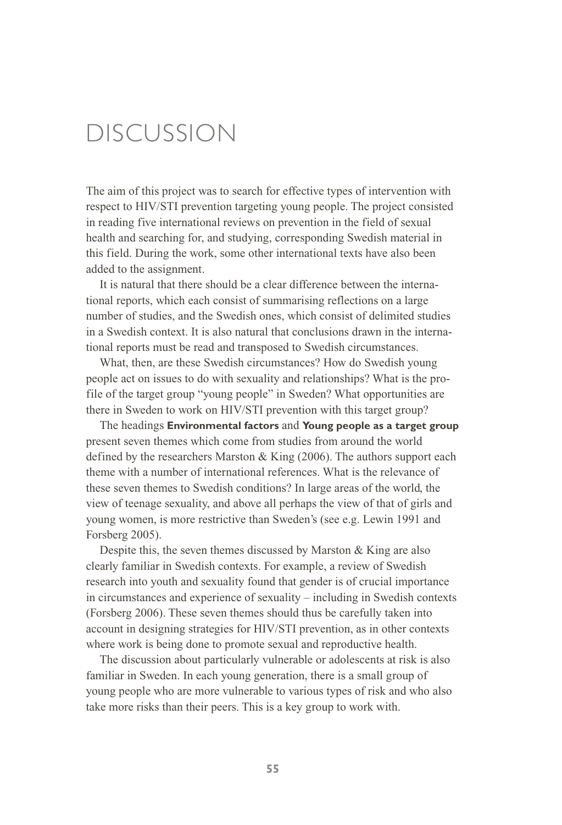Another perspective on risk-taking is that generations differ from each other. For example, various data indicate that those who were young in the 1980s acted with greater care in various respects (alcohol, drugs, sexual risks) than earlier and later generations of young people. International experience shows that mass media information and campaigns yield some preventive results. Against this background, there is reason to ponder whether the HIV prevention campaigns in 1980s Sweden may partly explain the "caution" of young people in this decade (cf. Swedin et al. 1994).

From the early 1990s, however, this development is reversed and research shows that subsequent generations of young people are moving towards greater risk-taking, for example in sexual relationships. Expressions of this risk-taking are greater acceptance of intercourse outside an established relationship, more partners, and more young people who have experience of sex "on the first date" (Herlitz 2004). In the early 21st century, then, we have a generation of young people who in a historical perspective are taking increasing risks in a sexual context (Forsberg 2006).

What opportunities do we in Sweden have, against this background, of turning experience in Sweden and other countries into successful prevention work?

To start with, a number of the international reviews stress two conclusions which in the Swedish debate have been generally accepted for many years. One is that more discussion of sex does not lead to young people becoming more sexually active. The same assumption, that education on sexuality would risk "waking the sleeping dogs", has also been expressed in Sweden, but this is a discussion which belonged to the early and mid-20th century [Lära, leva tillsammans (Learn, live together), 1982]. Those active in the field have subsequently been largely in agreement that "the dogs are not asleep anyway". The other conclusion is that messages about abstinence are ineffective and sometimes directly counterproductive. This conclusion is also familiar in the Swedish debate. The basic assumption in Sweden has long been that most young people begin sexual activity at some point in their teen years, and that the task of society is to make this a safe and secure experience, through sex and relationships education, the provision of effective contraceptives and other measures. These two conclusions, which in Sweden grew from practical experience of issues of sexuality and sex, are confirmed here by international research.

With respect to the theme of **Actors and arenas**, the long tradition of promotion and prevention that exists in Sweden is clearly apparent in a reading of the international reviews. Many other countries often have considerably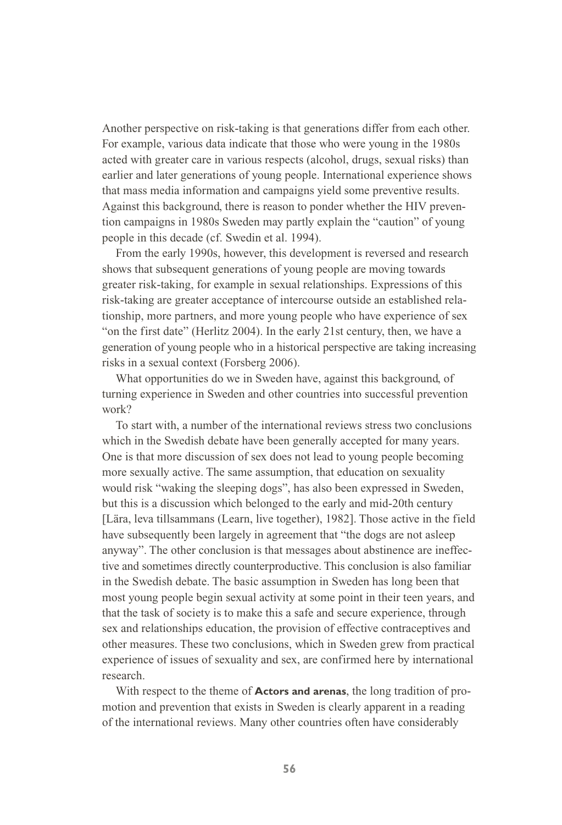poorer access to various types of social services intended to meet the needs of young people.

International reviews urge systematic work within the framework of the school system. Sweden has had such a system for about fifty years. Interventions against HIV/STI are a key part of this broadly-based sex and relationships education. It is worth mentioning that pupil health is not mentioned in the international reports, whereas pupil health services are a clear and key factor in the context in Sweden.

International reviews urge the establishment of easily-accessible clinics with staff who have been specially trained to deal with young people, and contraception provision. Over the past two or three decades, a large number of youth clinics have been set up in Sweden to deal with the needs of young people in particular. These clinics today are a relatively well-established part of society's range of support and advice to young people. International reviews confirm that this has been a correct step, which it is important to safeguard and develop in the future. The reviews also stress the importance of collaboration between different actors in the field.

In other areas – **Intervention Structure, Content of Interventions and Communication**, the international reviews and Swedish texts point to the needs and orientation of future Swedish development work. In many contexts, work takes place which, for example, fulfils the requirement for active and involving educational methods, and many places have established forms of collaboration between different actors, and so on. Despite this, it is clear that this is not the case everywhere, and the national quality review of schools asks for more systematic work on sex and relationships issues.

With respect to **Evaluation and Research**, it is necessary to evaluate various measures in a clearer and more consistent way, and also highlight Swedish experiences for presentation and discussion in the international arena.

Within these four concluding themes, there is, in brief, much to be done, based on the recommendations presented under *Conclusions.*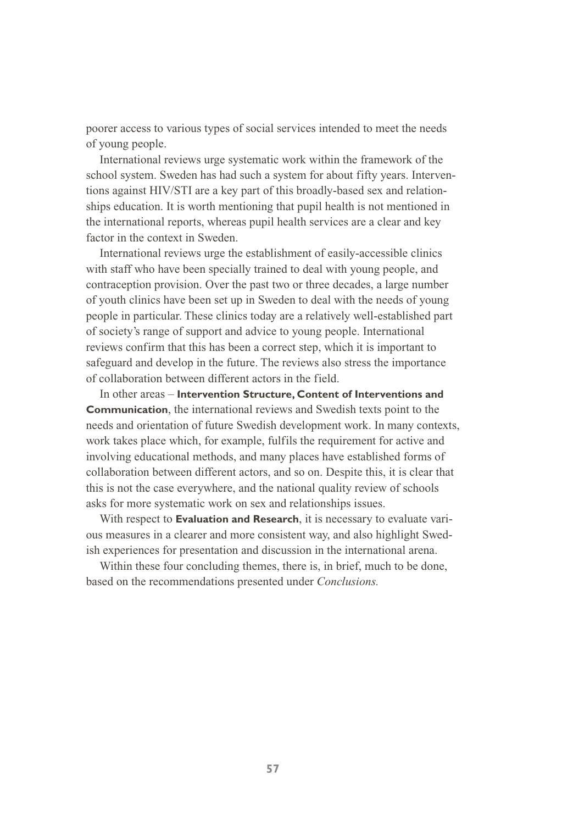# REFERENCES

- Ahlberg, B M, Jylkäs, E, Krantz, I (2001) Gendered constructions of sexual risks: implications for safer sex among young people in Kenya and Sweden. In *Reproductive Health Matters*, Vol. 9, No. 17, May 2001
- Andersson-Ellström (1996) *Sexuality and sexually transmitted diseases in young women*. Doctoral thesis. Department of Obstretics and Gynecology, East Hospital, University of Gothenburg, Gothenburg, Sweden and Centre for Public Health Research, County Council of Värmland, Karlstad, Sweden
- Berg Kelly, K (1998) *Ungdomsmedicin*. Stockholm: Liber
- Bolin, A (1996) *Operation Närskydd om sexualitet, manlig identitet och hiv/STD-prevention i värnpliktsutbildningen*. Folkhälsoinstitutet utvärderar 7/1996. Stockholm: National Institute of Public Health.
- DiCenso et al (2002) Interventions to reduce unintended pregnancies among adolescents: systematic review of randomized controlled trials. *BMJ* Vol 324 15 June 2002
- *Effective Health Care. Preventing and reducing the adverse effects of unintended teenage pregnancies*. (1997) NHS Centre for Reviews and Dissemination, University of New York 1997. Vol 3 number 1 ISSN:0965-0288
- Forsberg, M (2005) *Brunetter och Blondiner. Om ungdom och sexualitet i det mångkulturella Sverige*. Doctoral thesis. Göteborg: Department of Social Work, Göteborg University.
- Forsberg, M (2006) *Ungdomar och sexualitet. En forskningsöversikt år 2005*. Rapport R 2006:18. Stockholm: National Institute of Public Health.
- Herlitz, C (2004) *Allmänheten och hiv/aids. Kunskaper, attityder och beteenden 1987–2003*. Rapport 2004:7. Stockholm: National Institute of Public Health.
- *Impact of HIV and sexual health education on the sexual behaviour of young people*. A review update.(1997) UNAIDS/97.4
- Jarlbro, G (1997 *Sex- och samlevnadsundervisning i grundskolan*. Rapport 1997:18. Stockholm: National Institute of Public Health.
- Kim, N et al (1997) Effectiveness of the 40 adolescent AIDS-risk reduction interventions: a quantitative review. In *J Adolesc Health* 1997;20:204-15.
- Kindeberg, T (1997) *Undervisningens möjligheter att förändra elevernas tänkande inom området aids och sex*. Thesis. Lund Studies in Education 2. Lund: Lund University Press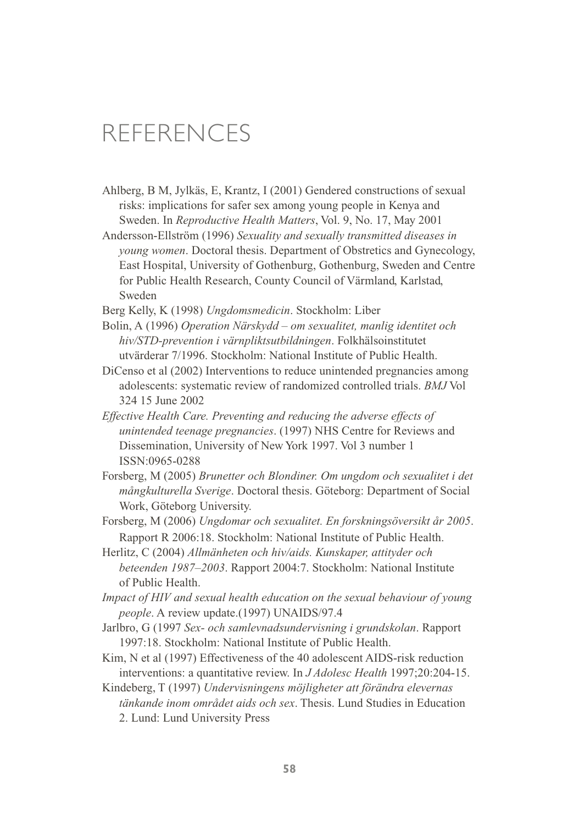- Kirby, D (1997) *No Easy Answers. Research Findings on Programs to Reduce Teen Pregnancy.* Washington DC: The national Campaign to Prevent Teen Pregnancy
- LAFA 1:2005 *Sex och samlevnadsundervisning i skolan. En kartläggning av sex- och samlevnadsundervisningen på sju högstadieskolor i Stockholms län*. Stockholm: Landstinget förebygger aids (Lafa)
- LAFA 2:2002. *Kondumutdelare. Praktiker och uppfattningar hos Lafas kondomutdelare I Stockholms län*. Stockholm: Landstinget förebygger aids (Lafa).
- Larsson, M., Eurenius, K., Westerling,R., Tydén, T. Evaluation of a sexual education intervention among Swedish high school students. *Scandinavian Journal of Public Health*, 34(02):124-131, 2006
- Lindblad, I (1996) Swedish Information about HIV and AIDS. A Text Analysis and Reception Study. In *Nordicom Information* 2/1996. Umeå: Department of Media and Communication, University of Umeå
- *Lära, leva tillsammans*, Ministry Publications Series S 1982:8 Stockholm: Ministry of Health and Social Affairs
- Lennerhed, L (1996) *Att förebygga oönskade graviditeter och sexuellt överförda sjukdomar. En lägesrapport*. Rapport 1996:115. Stockholm: National Institute for Public Health.
- Lewin, B. (1991) *Att omplantera sexualiteten. Om latinamerikanska ungdomars sexuella socialisation i Sverige*. Uppsala:Uppsala University, Department of Sociology.
- MacDowell, W & Mitchell, K (2006) Sexual health communication. I Ingham, R & Aggleton, P (ed) *Promoting young people's sexual health. International perspectives.* New York: Routledge
- Marston, C; King, E (2006) Factors that shape young people's sexual behaviour: a systematic review. *The Lancet* vol 368 Nov 4, 2006
- Monasch, R & Mahy, M (2006) Young people: the centre of the HIV epidemic. In *Preventing HIV/AIDS in young people. A systematic review of the developing countries*. WHO Technical Report Series 938. WHO
- Mullen, PD, Ramírez, G, Strouse, D, Hedges, LV, Sogolow, E (2002) Metaanalysis of the effects of Behavioral HIV Prevention Interventions on the Sexual Risk Behavior of Sexually Experienced Adolescents in Controlled Studies in the United States. *JAIDS Journal of acquired Immune Deficiency Syndromes* 30;S94-S105
- Novak, D, Karlsson & R B (2005) Gender differed factors affecting male condom use. A population-based study of 18-year-old Swedish adolescents. In *International Journal of Adolescent Medicina Health* 2005;  $17(4):379 - 390.$